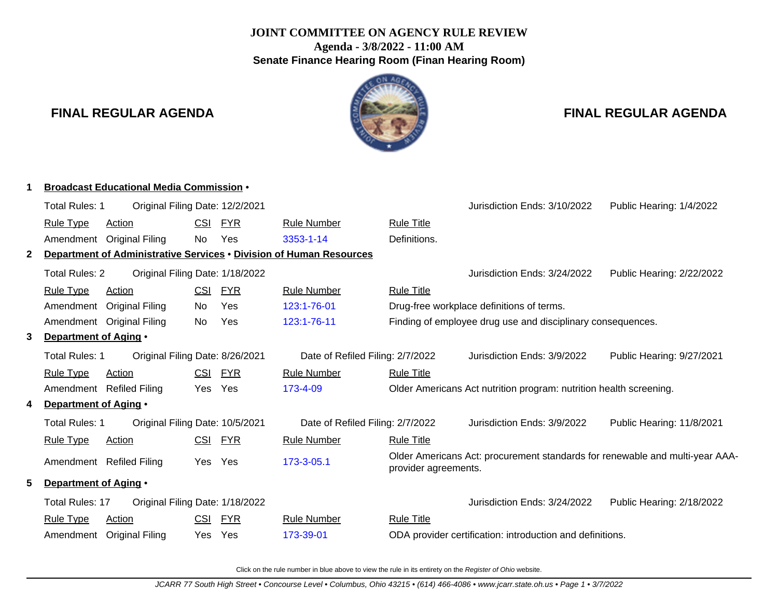# **JOINT COMMITTEE ON AGENCY RULE REVIEW Agenda - 3/8/2022 - 11:00 AM Senate Finance Hearing Room (Finan Hearing Room)**



# **FINAL REGULAR AGENDA FINAL REGULAR AGENDA**

|    |                              | <b>Broadcast Educational Media Commission .</b> |            |            |                                                                     |                      |                                                                              |                           |
|----|------------------------------|-------------------------------------------------|------------|------------|---------------------------------------------------------------------|----------------------|------------------------------------------------------------------------------|---------------------------|
|    | Total Rules: 1               | Original Filing Date: 12/2/2021                 |            |            |                                                                     |                      | Jurisdiction Ends: 3/10/2022                                                 | Public Hearing: 1/4/2022  |
|    | <b>Rule Type</b>             | <b>Action</b>                                   | <b>CSI</b> | <b>FYR</b> | <b>Rule Number</b>                                                  | <b>Rule Title</b>    |                                                                              |                           |
|    | Amendment Original Filing    |                                                 | <b>No</b>  | Yes        | 3353-1-14                                                           | Definitions.         |                                                                              |                           |
| 2  |                              |                                                 |            |            | Department of Administrative Services . Division of Human Resources |                      |                                                                              |                           |
|    | <b>Total Rules: 2</b>        | Original Filing Date: 1/18/2022                 |            |            |                                                                     |                      | Jurisdiction Ends: 3/24/2022                                                 | Public Hearing: 2/22/2022 |
|    | <b>Rule Type</b>             | <b>Action</b>                                   | <b>CSI</b> | <b>FYR</b> | <b>Rule Number</b>                                                  | <b>Rule Title</b>    |                                                                              |                           |
|    | Amendment                    | <b>Original Filing</b>                          | No.        | Yes        | 123:1-76-01                                                         |                      | Drug-free workplace definitions of terms.                                    |                           |
|    | Amendment Original Filing    |                                                 | No.        | Yes        | 123:1-76-11                                                         |                      | Finding of employee drug use and disciplinary consequences.                  |                           |
| 3  | Department of Aging .        |                                                 |            |            |                                                                     |                      |                                                                              |                           |
|    | Total Rules: 1               | Original Filing Date: 8/26/2021                 |            |            | Date of Refiled Filing: 2/7/2022                                    |                      | Jurisdiction Ends: 3/9/2022                                                  | Public Hearing: 9/27/2021 |
|    | <b>Rule Type</b>             | Action                                          | <b>CSI</b> | <b>FYR</b> | <b>Rule Number</b>                                                  | <b>Rule Title</b>    |                                                                              |                           |
|    | Amendment Refiled Filing     |                                                 | Yes        | Yes        | 173-4-09                                                            |                      | Older Americans Act nutrition program: nutrition health screening.           |                           |
|    | <b>Department of Aging •</b> |                                                 |            |            |                                                                     |                      |                                                                              |                           |
|    | Total Rules: 1               | Original Filing Date: 10/5/2021                 |            |            | Date of Refiled Filing: 2/7/2022                                    |                      | Jurisdiction Ends: 3/9/2022                                                  | Public Hearing: 11/8/2021 |
|    | <b>Rule Type</b>             | Action                                          | CSI        | <b>FYR</b> | <b>Rule Number</b>                                                  | <b>Rule Title</b>    |                                                                              |                           |
|    | Amendment Refiled Filing     |                                                 | Yes Yes    |            | 173-3-05.1                                                          | provider agreements. | Older Americans Act: procurement standards for renewable and multi-year AAA- |                           |
| 5. | Department of Aging .        |                                                 |            |            |                                                                     |                      |                                                                              |                           |
|    | Total Rules: 17              | Original Filing Date: 1/18/2022                 |            |            |                                                                     |                      | Jurisdiction Ends: 3/24/2022                                                 | Public Hearing: 2/18/2022 |
|    | <b>Rule Type</b>             | Action                                          | CSI        | <b>FYR</b> | <b>Rule Number</b>                                                  | <b>Rule Title</b>    |                                                                              |                           |
|    | Amendment                    | <b>Original Filing</b>                          | Yes        | Yes        | 173-39-01                                                           |                      | ODA provider certification: introduction and definitions.                    |                           |
|    |                              |                                                 |            |            |                                                                     |                      |                                                                              |                           |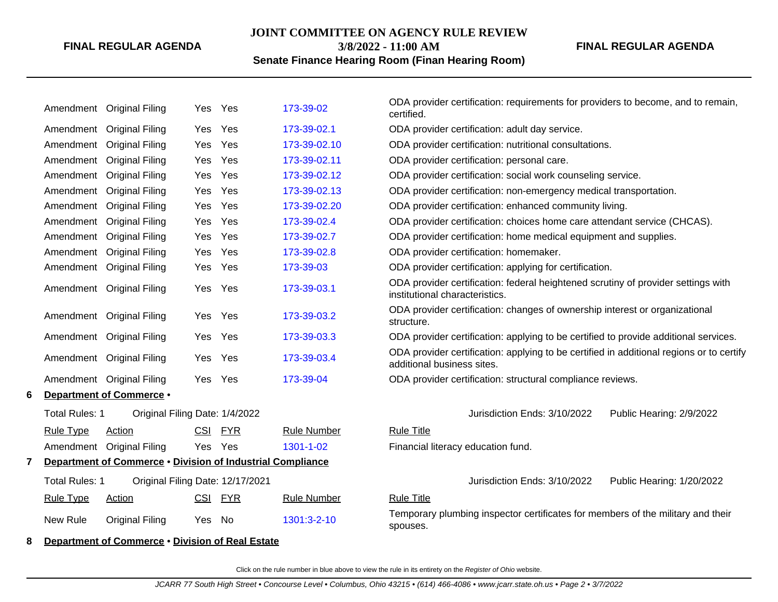### **JOINT COMMITTEE ON AGENCY RULE REVIEW**

**3/8/2022 - 11:00 AM**

### **FINAL REGULAR AGENDA**

# **Senate Finance Hearing Room (Finan Hearing Room)**

|   |                       | Amendment Original Filing                                  | Yes        | Yes        | 173-39-02          | ODA provider certification: requirements for providers to become, and to remain,<br>certified.                         |
|---|-----------------------|------------------------------------------------------------|------------|------------|--------------------|------------------------------------------------------------------------------------------------------------------------|
|   |                       | Amendment Original Filing                                  | Yes        | Yes        | 173-39-02.1        | ODA provider certification: adult day service.                                                                         |
|   | Amendment             | <b>Original Filing</b>                                     | Yes        | Yes        | 173-39-02.10       | ODA provider certification: nutritional consultations.                                                                 |
|   |                       | Amendment Original Filing                                  | Yes        | Yes        | 173-39-02.11       | ODA provider certification: personal care.                                                                             |
|   | Amendment             | <b>Original Filing</b>                                     | <b>Yes</b> | Yes        | 173-39-02.12       | ODA provider certification: social work counseling service.                                                            |
|   | Amendment             | <b>Original Filing</b>                                     | <b>Yes</b> | Yes        | 173-39-02.13       | ODA provider certification: non-emergency medical transportation.                                                      |
|   |                       | Amendment Original Filing                                  | Yes        | Yes        | 173-39-02.20       | ODA provider certification: enhanced community living.                                                                 |
|   |                       | Amendment Original Filing                                  | Yes        | Yes        | 173-39-02.4        | ODA provider certification: choices home care attendant service (CHCAS).                                               |
|   |                       | Amendment Original Filing                                  | Yes        | Yes        | 173-39-02.7        | ODA provider certification: home medical equipment and supplies.                                                       |
|   |                       | Amendment Original Filing                                  | Yes        | Yes        | 173-39-02.8        | ODA provider certification: homemaker.                                                                                 |
|   |                       | Amendment Original Filing                                  | Yes        | Yes        | 173-39-03          | ODA provider certification: applying for certification.                                                                |
|   |                       | Amendment Original Filing                                  | Yes        | Yes        | 173-39-03.1        | ODA provider certification: federal heightened scrutiny of provider settings with<br>institutional characteristics.    |
|   |                       | Amendment Original Filing                                  | Yes.       | Yes        | 173-39-03.2        | ODA provider certification: changes of ownership interest or organizational<br>structure.                              |
|   |                       | Amendment Original Filing                                  | Yes        | Yes        | 173-39-03.3        | ODA provider certification: applying to be certified to provide additional services.                                   |
|   |                       | Amendment Original Filing                                  | Yes        | Yes        | 173-39-03.4        | ODA provider certification: applying to be certified in additional regions or to certify<br>additional business sites. |
|   |                       | Amendment Original Filing                                  | Yes        | Yes        | 173-39-04          | ODA provider certification: structural compliance reviews.                                                             |
| 6 |                       | Department of Commerce .                                   |            |            |                    |                                                                                                                        |
|   | <b>Total Rules: 1</b> | Original Filing Date: 1/4/2022                             |            |            |                    | Jurisdiction Ends: 3/10/2022<br>Public Hearing: 2/9/2022                                                               |
|   | <b>Rule Type</b>      | Action                                                     | <b>CSI</b> | <b>FYR</b> | <b>Rule Number</b> | <b>Rule Title</b>                                                                                                      |
|   |                       | Amendment Original Filing                                  | Yes        | Yes        | 1301-1-02          | Financial literacy education fund.                                                                                     |
| 7 |                       | Department of Commerce . Division of Industrial Compliance |            |            |                    |                                                                                                                        |
|   | Total Rules: 1        | Original Filing Date: 12/17/2021                           |            |            |                    | Jurisdiction Ends: 3/10/2022<br>Public Hearing: 1/20/2022                                                              |
|   | <b>Rule Type</b>      | Action                                                     | <b>CSI</b> | <b>FYR</b> | <b>Rule Number</b> | <b>Rule Title</b>                                                                                                      |
|   | New Rule              | <b>Original Filing</b>                                     | Yes        | No         | 1301:3-2-10        | Temporary plumbing inspector certificates for members of the military and their<br>spouses.                            |
| 8 |                       | Department of Commerce . Division of Real Estate           |            |            |                    |                                                                                                                        |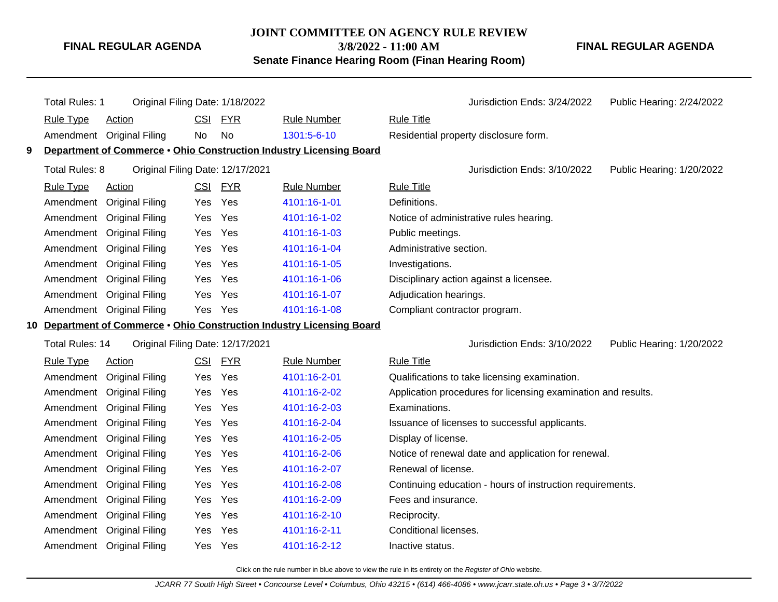**JOINT COMMITTEE ON AGENCY RULE REVIEW**

**3/8/2022 - 11:00 AM**

**Senate Finance Hearing Room (Finan Hearing Room)**

**FINAL REGULAR AGENDA**

|   | <b>Total Rules: 1</b> |                           |            | Original Filing Date: 1/18/2022  |                                                                        | Jurisdiction Ends: 3/24/2022                                  | Public Hearing: 2/24/2022 |
|---|-----------------------|---------------------------|------------|----------------------------------|------------------------------------------------------------------------|---------------------------------------------------------------|---------------------------|
|   | <b>Rule Type</b>      | <b>Action</b>             | <b>CSI</b> | <b>FYR</b>                       | <b>Rule Number</b>                                                     | <b>Rule Title</b>                                             |                           |
|   |                       | Amendment Original Filing | No         | No                               | 1301:5-6-10                                                            | Residential property disclosure form.                         |                           |
| 9 |                       |                           |            |                                  | Department of Commerce . Ohio Construction Industry Licensing Board    |                                                               |                           |
|   | Total Rules: 8        |                           |            | Original Filing Date: 12/17/2021 |                                                                        | Jurisdiction Ends: 3/10/2022                                  | Public Hearing: 1/20/2022 |
|   | <b>Rule Type</b>      | Action                    | <u>CSI</u> | <b>FYR</b>                       | <b>Rule Number</b>                                                     | <b>Rule Title</b>                                             |                           |
|   | Amendment             | <b>Original Filing</b>    | Yes        | Yes                              | 4101:16-1-01                                                           | Definitions.                                                  |                           |
|   |                       | Amendment Original Filing | Yes        | Yes                              | 4101:16-1-02                                                           | Notice of administrative rules hearing.                       |                           |
|   |                       | Amendment Original Filing | Yes        | Yes                              | 4101:16-1-03                                                           | Public meetings.                                              |                           |
|   |                       | Amendment Original Filing | Yes        | Yes                              | 4101:16-1-04                                                           | Administrative section.                                       |                           |
|   |                       | Amendment Original Filing | Yes        | Yes                              | 4101:16-1-05                                                           | Investigations.                                               |                           |
|   |                       | Amendment Original Filing | Yes        | Yes                              | 4101:16-1-06                                                           | Disciplinary action against a licensee.                       |                           |
|   |                       | Amendment Original Filing | Yes        | Yes                              | 4101:16-1-07                                                           | Adjudication hearings.                                        |                           |
|   |                       | Amendment Original Filing | Yes        | Yes                              | 4101:16-1-08                                                           | Compliant contractor program.                                 |                           |
|   |                       |                           |            |                                  | 10 Department of Commerce . Ohio Construction Industry Licensing Board |                                                               |                           |
|   | Total Rules: 14       |                           |            | Original Filing Date: 12/17/2021 |                                                                        | Jurisdiction Ends: 3/10/2022                                  | Public Hearing: 1/20/2022 |
|   | <b>Rule Type</b>      | Action                    | <b>CSI</b> | <b>FYR</b>                       | <b>Rule Number</b>                                                     | <b>Rule Title</b>                                             |                           |
|   |                       | Amendment Original Filing | Yes        | Yes                              | 4101:16-2-01                                                           | Qualifications to take licensing examination.                 |                           |
|   |                       | Amendment Original Filing | Yes        | Yes                              | 4101:16-2-02                                                           | Application procedures for licensing examination and results. |                           |
|   |                       | Amendment Original Filing | Yes        | Yes                              | 4101:16-2-03                                                           | Examinations.                                                 |                           |
|   |                       | Amendment Original Filing | Yes        | Yes                              | 4101:16-2-04                                                           | Issuance of licenses to successful applicants.                |                           |
|   |                       | Amendment Original Filing | Yes        | Yes                              | 4101:16-2-05                                                           | Display of license.                                           |                           |
|   |                       | Amendment Original Filing | Yes        | Yes                              | 4101:16-2-06                                                           | Notice of renewal date and application for renewal.           |                           |
|   |                       | Amendment Original Filing | Yes        | Yes                              | 4101:16-2-07                                                           | Renewal of license.                                           |                           |
|   |                       | Amendment Original Filing | Yes        | Yes                              | 4101:16-2-08                                                           | Continuing education - hours of instruction requirements.     |                           |
|   |                       | Amendment Original Filing | Yes        | Yes                              | 4101:16-2-09                                                           | Fees and insurance.                                           |                           |
|   | Amendment             | <b>Original Filing</b>    | Yes        | Yes                              | 4101:16-2-10                                                           | Reciprocity.                                                  |                           |
|   |                       | Amendment Original Filing | Yes        | Yes                              | 4101:16-2-11                                                           | Conditional licenses.                                         |                           |
|   |                       | Amendment Original Filing | Yes Yes    |                                  | 4101:16-2-12                                                           | Inactive status.                                              |                           |
|   |                       |                           |            |                                  |                                                                        |                                                               |                           |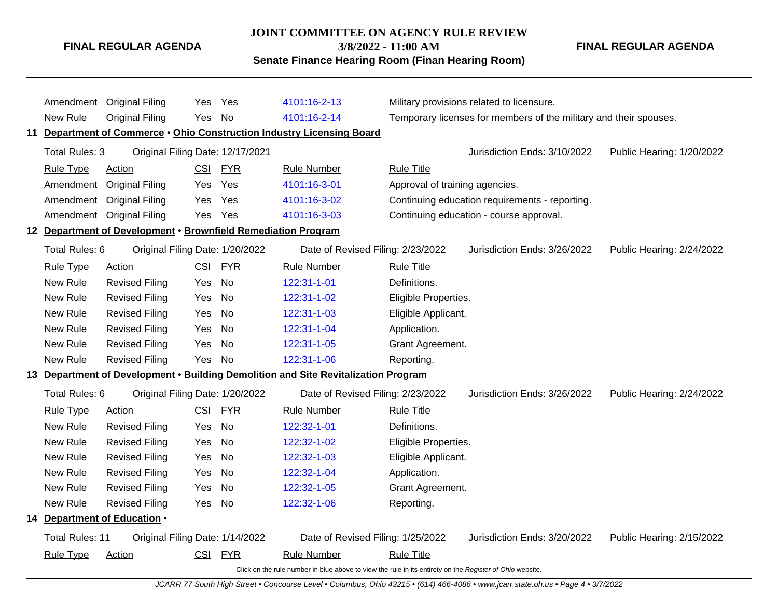**FINAL REGULAR AGENDA**

**3/8/2022 - 11:00 AM**

**Senate Finance Hearing Room (Finan Hearing Room)**

|                        | Amendment Original Filing                                     | Yes Yes    |            | 4101:16-2-13                                                                                             |                                | Military provisions related to licensure.                         |                           |
|------------------------|---------------------------------------------------------------|------------|------------|----------------------------------------------------------------------------------------------------------|--------------------------------|-------------------------------------------------------------------|---------------------------|
| New Rule               | <b>Original Filing</b>                                        | Yes        | No         | 4101:16-2-14                                                                                             |                                | Temporary licenses for members of the military and their spouses. |                           |
|                        |                                                               |            |            | 11 Department of Commerce . Ohio Construction Industry Licensing Board                                   |                                |                                                                   |                           |
| <b>Total Rules: 3</b>  | Original Filing Date: 12/17/2021                              |            |            |                                                                                                          |                                | Jurisdiction Ends: 3/10/2022                                      | Public Hearing: 1/20/2022 |
| <b>Rule Type</b>       | <b>Action</b>                                                 | <u>CSI</u> | <u>FYR</u> | <b>Rule Number</b>                                                                                       | <b>Rule Title</b>              |                                                                   |                           |
| Amendment              | <b>Original Filing</b>                                        | Yes        | Yes        | 4101:16-3-01                                                                                             | Approval of training agencies. |                                                                   |                           |
| Amendment              | <b>Original Filing</b>                                        | Yes        | Yes        | 4101:16-3-02                                                                                             |                                | Continuing education requirements - reporting.                    |                           |
|                        | Amendment Original Filing                                     | Yes Yes    |            | 4101:16-3-03                                                                                             |                                | Continuing education - course approval.                           |                           |
|                        | 12 Department of Development • Brownfield Remediation Program |            |            |                                                                                                          |                                |                                                                   |                           |
| Total Rules: 6         | Original Filing Date: 1/20/2022                               |            |            | Date of Revised Filing: 2/23/2022                                                                        |                                | Jurisdiction Ends: 3/26/2022                                      | Public Hearing: 2/24/2022 |
| <b>Rule Type</b>       | Action                                                        |            | CSI FYR    | <b>Rule Number</b>                                                                                       | <b>Rule Title</b>              |                                                                   |                           |
| New Rule               | <b>Revised Filing</b>                                         | Yes        | <b>No</b>  | 122:31-1-01                                                                                              | Definitions.                   |                                                                   |                           |
| New Rule               | <b>Revised Filing</b>                                         | Yes        | No         | 122:31-1-02                                                                                              | Eligible Properties.           |                                                                   |                           |
| New Rule               | <b>Revised Filing</b>                                         | Yes        | No         | 122:31-1-03                                                                                              | Eligible Applicant.            |                                                                   |                           |
| New Rule               | <b>Revised Filing</b>                                         | Yes        | <b>No</b>  | 122:31-1-04                                                                                              | Application.                   |                                                                   |                           |
| New Rule               | <b>Revised Filing</b>                                         | Yes        | <b>No</b>  | 122:31-1-05                                                                                              | Grant Agreement.               |                                                                   |                           |
| New Rule               | <b>Revised Filing</b>                                         | Yes        | No         | 122:31-1-06                                                                                              | Reporting.                     |                                                                   |                           |
|                        |                                                               |            |            | 13 Department of Development . Building Demolition and Site Revitalization Program                       |                                |                                                                   |                           |
| Total Rules: 6         | Original Filing Date: 1/20/2022                               |            |            | Date of Revised Filing: 2/23/2022                                                                        |                                | Jurisdiction Ends: 3/26/2022                                      | Public Hearing: 2/24/2022 |
| <b>Rule Type</b>       | Action                                                        | CSI        | <b>FYR</b> | <b>Rule Number</b>                                                                                       | <b>Rule Title</b>              |                                                                   |                           |
| New Rule               | <b>Revised Filing</b>                                         | Yes        | <b>No</b>  | 122:32-1-01                                                                                              | Definitions.                   |                                                                   |                           |
| New Rule               | <b>Revised Filing</b>                                         | Yes        | <b>No</b>  | 122:32-1-02                                                                                              | Eligible Properties.           |                                                                   |                           |
| New Rule               | <b>Revised Filing</b>                                         | Yes        | No         | 122:32-1-03                                                                                              | Eligible Applicant.            |                                                                   |                           |
| New Rule               | <b>Revised Filing</b>                                         | Yes        | <b>No</b>  | 122:32-1-04                                                                                              | Application.                   |                                                                   |                           |
| New Rule               | <b>Revised Filing</b>                                         | Yes        | No         | 122:32-1-05                                                                                              | Grant Agreement.               |                                                                   |                           |
| New Rule               | <b>Revised Filing</b>                                         | Yes        | No         | 122:32-1-06                                                                                              | Reporting.                     |                                                                   |                           |
|                        | 14 Department of Education .                                  |            |            |                                                                                                          |                                |                                                                   |                           |
| <b>Total Rules: 11</b> | Original Filing Date: 1/14/2022                               |            |            | Date of Revised Filing: 1/25/2022                                                                        |                                | Jurisdiction Ends: 3/20/2022                                      | Public Hearing: 2/15/2022 |
| <b>Rule Type</b>       | <b>Action</b>                                                 |            | CSI FYR    | <b>Rule Number</b>                                                                                       | <b>Rule Title</b>              |                                                                   |                           |
|                        |                                                               |            |            | Click on the rule number in blue above to view the rule in its entirety on the Register of Ohio website. |                                |                                                                   |                           |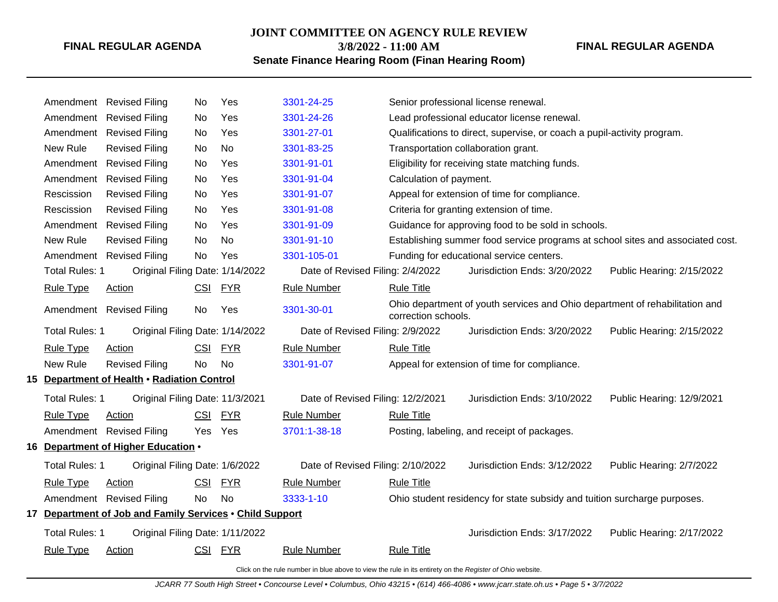### **JOINT COMMITTEE ON AGENCY RULE REVIEW**

**3/8/2022 - 11:00 AM**

**Senate Finance Hearing Room (Finan Hearing Room)**

**FINAL REGULAR AGENDA**

|                       | Amendment Revised Filing                                 | No         | Yes        | 3301-24-25                        |                         | Senior professional license renewal.                                           |                           |
|-----------------------|----------------------------------------------------------|------------|------------|-----------------------------------|-------------------------|--------------------------------------------------------------------------------|---------------------------|
|                       | Amendment Revised Filing                                 | No         | Yes        | 3301-24-26                        |                         | Lead professional educator license renewal.                                    |                           |
|                       | Amendment Revised Filing                                 | No         | Yes        | 3301-27-01                        |                         | Qualifications to direct, supervise, or coach a pupil-activity program.        |                           |
| New Rule              | <b>Revised Filing</b>                                    | No         | <b>No</b>  | 3301-83-25                        |                         | Transportation collaboration grant.                                            |                           |
|                       | Amendment Revised Filing                                 | No         | Yes        | 3301-91-01                        |                         | Eligibility for receiving state matching funds.                                |                           |
|                       | Amendment Revised Filing                                 | No         | Yes        | 3301-91-04                        | Calculation of payment. |                                                                                |                           |
| Rescission            | <b>Revised Filing</b>                                    | No         | Yes        | 3301-91-07                        |                         | Appeal for extension of time for compliance.                                   |                           |
| Rescission            | <b>Revised Filing</b>                                    | No         | Yes        | 3301-91-08                        |                         | Criteria for granting extension of time.                                       |                           |
|                       | Amendment Revised Filing                                 | No         | Yes        | 3301-91-09                        |                         | Guidance for approving food to be sold in schools.                             |                           |
| New Rule              | <b>Revised Filing</b>                                    | No         | No         | 3301-91-10                        |                         | Establishing summer food service programs at school sites and associated cost. |                           |
|                       | Amendment Revised Filing                                 | No         | Yes        | 3301-105-01                       |                         | Funding for educational service centers.                                       |                           |
| <b>Total Rules: 1</b> | Original Filing Date: 1/14/2022                          |            |            | Date of Revised Filing: 2/4/2022  |                         | Jurisdiction Ends: 3/20/2022                                                   | Public Hearing: 2/15/2022 |
| <b>Rule Type</b>      | <b>Action</b>                                            |            | CSI FYR    | <b>Rule Number</b>                | <b>Rule Title</b>       |                                                                                |                           |
|                       | Amendment Revised Filing                                 | <b>No</b>  | Yes        | 3301-30-01                        | correction schools.     | Ohio department of youth services and Ohio department of rehabilitation and    |                           |
| <b>Total Rules: 1</b> | Original Filing Date: 1/14/2022                          |            |            | Date of Revised Filing: 2/9/2022  |                         | Jurisdiction Ends: 3/20/2022                                                   | Public Hearing: 2/15/2022 |
| <b>Rule Type</b>      | Action                                                   | <b>CSI</b> | <b>FYR</b> | <b>Rule Number</b>                | <b>Rule Title</b>       |                                                                                |                           |
| New Rule              | <b>Revised Filing</b>                                    | No         | No         | 3301-91-07                        |                         | Appeal for extension of time for compliance.                                   |                           |
|                       | 15 Department of Health . Radiation Control              |            |            |                                   |                         |                                                                                |                           |
| Total Rules: 1        | Original Filing Date: 11/3/2021                          |            |            | Date of Revised Filing: 12/2/2021 |                         | Jurisdiction Ends: 3/10/2022                                                   | Public Hearing: 12/9/2021 |
| <b>Rule Type</b>      | Action                                                   | <b>CSI</b> | <u>FYR</u> | <b>Rule Number</b>                | <b>Rule Title</b>       |                                                                                |                           |
|                       | Amendment Revised Filing                                 | Yes        | Yes        | 3701:1-38-18                      |                         | Posting, labeling, and receipt of packages.                                    |                           |
|                       | 16 Department of Higher Education .                      |            |            |                                   |                         |                                                                                |                           |
| <b>Total Rules: 1</b> | Original Filing Date: 1/6/2022                           |            |            | Date of Revised Filing: 2/10/2022 |                         | Jurisdiction Ends: 3/12/2022                                                   | Public Hearing: 2/7/2022  |
| <b>Rule Type</b>      | <b>Action</b>                                            | <b>CSI</b> | FYR        | <b>Rule Number</b>                | <b>Rule Title</b>       |                                                                                |                           |
|                       | Amendment Revised Filing                                 | No         | No.        | 3333-1-10                         |                         | Ohio student residency for state subsidy and tuition surcharge purposes.       |                           |
|                       | 17 Department of Job and Family Services . Child Support |            |            |                                   |                         |                                                                                |                           |
| <b>Total Rules: 1</b> | Original Filing Date: 1/11/2022                          |            |            |                                   |                         | Jurisdiction Ends: 3/17/2022                                                   | Public Hearing: 2/17/2022 |
| <b>Rule Type</b>      | Action                                                   | <b>CSI</b> | <b>FYR</b> | <b>Rule Number</b>                | <b>Rule Title</b>       |                                                                                |                           |
|                       |                                                          |            |            |                                   |                         |                                                                                |                           |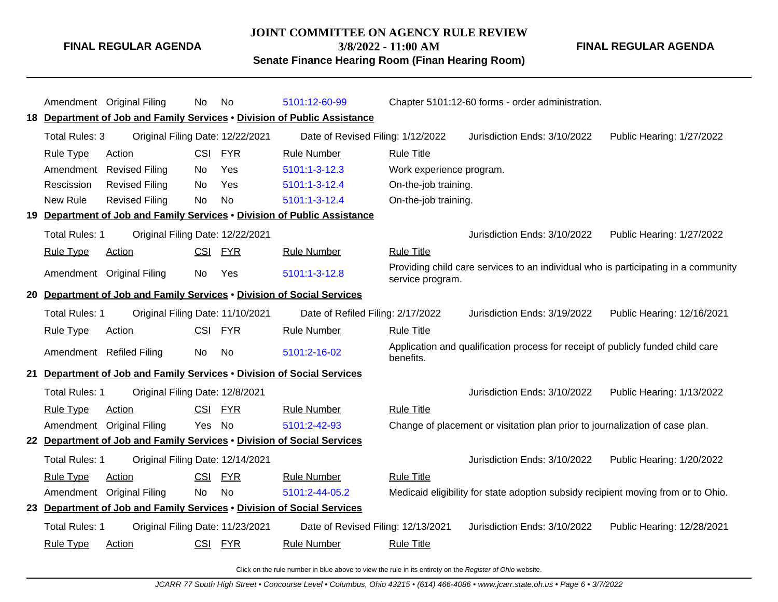**JOINT COMMITTEE ON AGENCY RULE REVIEW**

**FINAL REGULAR AGENDA**

**3/8/2022 - 11:00 AM Senate Finance Hearing Room (Finan Hearing Room)**

|    |                       | Amendment Original Filing                                              | No         | No         | 5101:12-60-99                                                            |                          | Chapter 5101:12-60 forms - order administration.                                   |                            |
|----|-----------------------|------------------------------------------------------------------------|------------|------------|--------------------------------------------------------------------------|--------------------------|------------------------------------------------------------------------------------|----------------------------|
|    |                       |                                                                        |            |            | 18 Department of Job and Family Services . Division of Public Assistance |                          |                                                                                    |                            |
|    | Total Rules: 3        | Original Filing Date: 12/22/2021                                       |            |            | Date of Revised Filing: 1/12/2022                                        |                          | Jurisdiction Ends: 3/10/2022                                                       | Public Hearing: 1/27/2022  |
|    | <b>Rule Type</b>      | <b>Action</b>                                                          | CSI        | <b>FYR</b> | <b>Rule Number</b>                                                       | <b>Rule Title</b>        |                                                                                    |                            |
|    | Amendment             | <b>Revised Filing</b>                                                  | No         | Yes        | 5101:1-3-12.3                                                            | Work experience program. |                                                                                    |                            |
|    | Rescission            | <b>Revised Filing</b>                                                  | No         | Yes        | 5101:1-3-12.4                                                            | On-the-job training.     |                                                                                    |                            |
|    | New Rule              | <b>Revised Filing</b>                                                  | <b>No</b>  | <b>No</b>  | 5101:1-3-12.4                                                            | On-the-job training.     |                                                                                    |                            |
|    |                       |                                                                        |            |            | 19 Department of Job and Family Services . Division of Public Assistance |                          |                                                                                    |                            |
|    | Total Rules: 1        | Original Filing Date: 12/22/2021                                       |            |            |                                                                          |                          | Jurisdiction Ends: 3/10/2022                                                       | Public Hearing: 1/27/2022  |
|    | <b>Rule Type</b>      | Action                                                                 | <b>CSI</b> | <b>FYR</b> | <b>Rule Number</b>                                                       | <b>Rule Title</b>        |                                                                                    |                            |
|    |                       | Amendment Original Filing                                              | No.        | Yes        | 5101:1-3-12.8                                                            | service program.         | Providing child care services to an individual who is participating in a community |                            |
|    |                       | 20 Department of Job and Family Services . Division of Social Services |            |            |                                                                          |                          |                                                                                    |                            |
|    | <b>Total Rules: 1</b> | Original Filing Date: 11/10/2021                                       |            |            | Date of Refiled Filing: 2/17/2022                                        |                          | Jurisdiction Ends: 3/19/2022                                                       | Public Hearing: 12/16/2021 |
|    | <b>Rule Type</b>      | Action                                                                 |            | CSI FYR    | <b>Rule Number</b>                                                       | <b>Rule Title</b>        |                                                                                    |                            |
|    |                       | Amendment Refiled Filing                                               | <b>No</b>  | <b>No</b>  | 5101:2-16-02                                                             | benefits.                | Application and qualification process for receipt of publicly funded child care    |                            |
| 21 |                       | Department of Job and Family Services . Division of Social Services    |            |            |                                                                          |                          |                                                                                    |                            |
|    | Total Rules: 1        | Original Filing Date: 12/8/2021                                        |            |            |                                                                          |                          | Jurisdiction Ends: 3/10/2022                                                       | Public Hearing: 1/13/2022  |
|    | <b>Rule Type</b>      | Action                                                                 | <b>CSI</b> | <b>FYR</b> | <b>Rule Number</b>                                                       | <b>Rule Title</b>        |                                                                                    |                            |
|    |                       | Amendment Original Filing                                              | Yes        | No         | 5101:2-42-93                                                             |                          | Change of placement or visitation plan prior to journalization of case plan.       |                            |
|    |                       | 22 Department of Job and Family Services . Division of Social Services |            |            |                                                                          |                          |                                                                                    |                            |
|    | Total Rules: 1        | Original Filing Date: 12/14/2021                                       |            |            |                                                                          |                          | Jurisdiction Ends: 3/10/2022                                                       | Public Hearing: 1/20/2022  |
|    | <b>Rule Type</b>      | <b>Action</b>                                                          | <u>CSI</u> | <u>FYR</u> | <b>Rule Number</b>                                                       | <b>Rule Title</b>        |                                                                                    |                            |
|    |                       | Amendment Original Filing                                              | No         | No         | 5101:2-44-05.2                                                           |                          | Medicaid eligibility for state adoption subsidy recipient moving from or to Ohio.  |                            |
|    |                       | 23 Department of Job and Family Services . Division of Social Services |            |            |                                                                          |                          |                                                                                    |                            |
|    | <b>Total Rules: 1</b> | Original Filing Date: 11/23/2021                                       |            |            | Date of Revised Filing: 12/13/2021                                       |                          | Jurisdiction Ends: 3/10/2022                                                       | Public Hearing: 12/28/2021 |
|    | <b>Rule Type</b>      | <b>Action</b>                                                          |            | CSI FYR    | <b>Rule Number</b>                                                       | <b>Rule Title</b>        |                                                                                    |                            |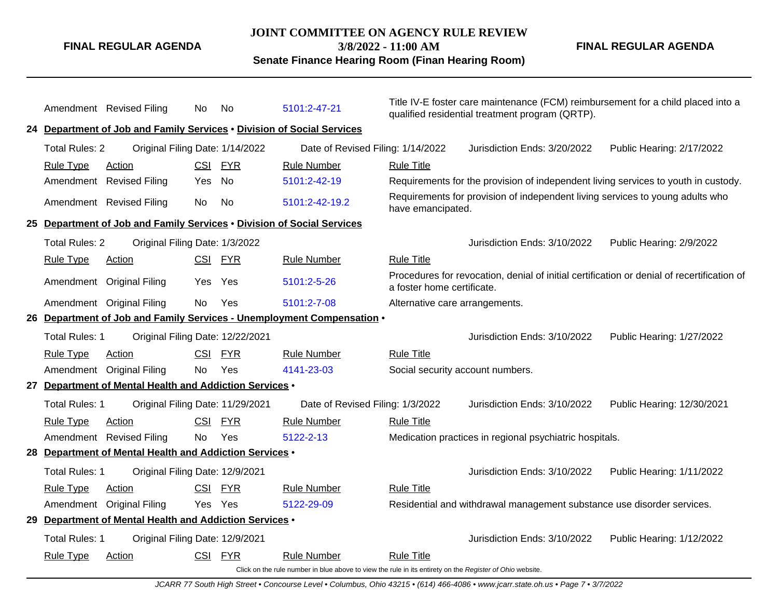### **JOINT COMMITTEE ON AGENCY RULE REVIEW**

**3/8/2022 - 11:00 AM**

**Senate Finance Hearing Room (Finan Hearing Room)**

|                       | Amendment Revised Filing                                               | No.        | No.        | 5101:2-47-21                                                                                             |                                  | Title IV-E foster care maintenance (FCM) reimbursement for a child placed into a<br>qualified residential treatment program (QRTP). |                            |
|-----------------------|------------------------------------------------------------------------|------------|------------|----------------------------------------------------------------------------------------------------------|----------------------------------|-------------------------------------------------------------------------------------------------------------------------------------|----------------------------|
|                       | 24 Department of Job and Family Services . Division of Social Services |            |            |                                                                                                          |                                  |                                                                                                                                     |                            |
| <b>Total Rules: 2</b> | Original Filing Date: 1/14/2022                                        |            |            | Date of Revised Filing: 1/14/2022                                                                        |                                  | Jurisdiction Ends: 3/20/2022                                                                                                        | Public Hearing: 2/17/2022  |
| <b>Rule Type</b>      | Action                                                                 | <u>CSI</u> | <b>FYR</b> | Rule Number                                                                                              | <b>Rule Title</b>                |                                                                                                                                     |                            |
|                       | Amendment Revised Filing                                               | Yes        | No         | 5101:2-42-19                                                                                             |                                  | Requirements for the provision of independent living services to youth in custody.                                                  |                            |
|                       | Amendment Revised Filing                                               | No.        | No         | 5101:2-42-19.2                                                                                           | have emancipated.                | Requirements for provision of independent living services to young adults who                                                       |                            |
|                       | 25 Department of Job and Family Services . Division of Social Services |            |            |                                                                                                          |                                  |                                                                                                                                     |                            |
| <b>Total Rules: 2</b> | Original Filing Date: 1/3/2022                                         |            |            |                                                                                                          |                                  | Jurisdiction Ends: 3/10/2022                                                                                                        | Public Hearing: 2/9/2022   |
| <b>Rule Type</b>      | Action                                                                 | <b>CSI</b> | <b>FYR</b> | <b>Rule Number</b>                                                                                       | <b>Rule Title</b>                |                                                                                                                                     |                            |
|                       | Amendment Original Filing                                              | Yes        | Yes        | 5101:2-5-26                                                                                              | a foster home certificate.       | Procedures for revocation, denial of initial certification or denial of recertification of                                          |                            |
|                       | Amendment Original Filing                                              | No.        | Yes        | 5101:2-7-08                                                                                              | Alternative care arrangements.   |                                                                                                                                     |                            |
|                       |                                                                        |            |            | 26 Department of Job and Family Services - Unemployment Compensation .                                   |                                  |                                                                                                                                     |                            |
| Total Rules: 1        | Original Filing Date: 12/22/2021                                       |            |            |                                                                                                          |                                  | Jurisdiction Ends: 3/10/2022                                                                                                        | Public Hearing: 1/27/2022  |
| <b>Rule Type</b>      | Action                                                                 | <b>CSI</b> | <b>FYR</b> | <b>Rule Number</b>                                                                                       | <b>Rule Title</b>                |                                                                                                                                     |                            |
|                       | Amendment Original Filing                                              | No         | Yes        | 4141-23-03                                                                                               | Social security account numbers. |                                                                                                                                     |                            |
|                       | 27 Department of Mental Health and Addiction Services .                |            |            |                                                                                                          |                                  |                                                                                                                                     |                            |
| Total Rules: 1        | Original Filing Date: 11/29/2021                                       |            |            | Date of Revised Filing: 1/3/2022                                                                         |                                  | Jurisdiction Ends: 3/10/2022                                                                                                        | Public Hearing: 12/30/2021 |
| <b>Rule Type</b>      | Action                                                                 | <b>CSI</b> | <b>FYR</b> | <b>Rule Number</b>                                                                                       | <b>Rule Title</b>                |                                                                                                                                     |                            |
|                       | Amendment Revised Filing                                               | No.        | Yes        | 5122-2-13                                                                                                |                                  | Medication practices in regional psychiatric hospitals.                                                                             |                            |
|                       | 28 Department of Mental Health and Addiction Services .                |            |            |                                                                                                          |                                  |                                                                                                                                     |                            |
| Total Rules: 1        | Original Filing Date: 12/9/2021                                        |            |            |                                                                                                          |                                  | Jurisdiction Ends: 3/10/2022                                                                                                        | Public Hearing: 1/11/2022  |
| <b>Rule Type</b>      | Action                                                                 | <b>CSI</b> | <b>FYR</b> | <b>Rule Number</b>                                                                                       | <b>Rule Title</b>                |                                                                                                                                     |                            |
|                       | Amendment Original Filing                                              | Yes Yes    |            | 5122-29-09                                                                                               |                                  | Residential and withdrawal management substance use disorder services.                                                              |                            |
|                       | 29 Department of Mental Health and Addiction Services .                |            |            |                                                                                                          |                                  |                                                                                                                                     |                            |
| <b>Total Rules: 1</b> | Original Filing Date: 12/9/2021                                        |            |            |                                                                                                          |                                  | Jurisdiction Ends: 3/10/2022                                                                                                        | Public Hearing: 1/12/2022  |
| <b>Rule Type</b>      | Action                                                                 |            | CSI FYR    | <b>Rule Number</b>                                                                                       | <b>Rule Title</b>                |                                                                                                                                     |                            |
|                       |                                                                        |            |            | Click on the rule number in blue above to view the rule in its entirety on the Register of Ohio website. |                                  |                                                                                                                                     |                            |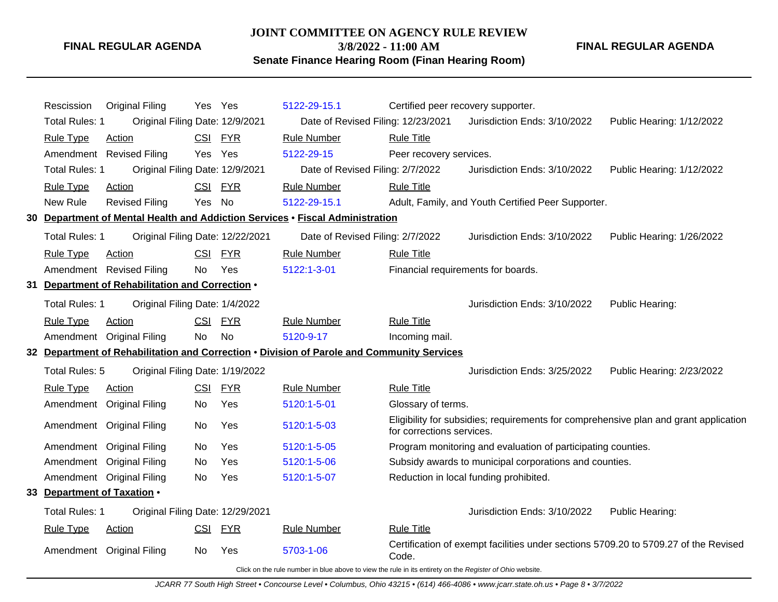### **JOINT COMMITTEE ON AGENCY RULE REVIEW**

**3/8/2022 - 11:00 AM**

# **Senate Finance Hearing Room (Finan Hearing Room)**

| Rescission                  | <b>Original Filing</b>                           | Yes Yes    |            | 5122-29-15.1                                                                                             | Certified peer recovery supporter. |                                                                                     |                                                                                      |
|-----------------------------|--------------------------------------------------|------------|------------|----------------------------------------------------------------------------------------------------------|------------------------------------|-------------------------------------------------------------------------------------|--------------------------------------------------------------------------------------|
| <b>Total Rules: 1</b>       | Original Filing Date: 12/9/2021                  |            |            | Date of Revised Filing: 12/23/2021                                                                       |                                    | Jurisdiction Ends: 3/10/2022                                                        | Public Hearing: 1/12/2022                                                            |
| <b>Rule Type</b>            | Action                                           | <b>CSI</b> | <b>FYR</b> | <b>Rule Number</b>                                                                                       | <b>Rule Title</b>                  |                                                                                     |                                                                                      |
|                             | Amendment Revised Filing                         | Yes Yes    |            | 5122-29-15                                                                                               | Peer recovery services.            |                                                                                     |                                                                                      |
| <b>Total Rules: 1</b>       | Original Filing Date: 12/9/2021                  |            |            | Date of Revised Filing: 2/7/2022                                                                         |                                    | Jurisdiction Ends: 3/10/2022                                                        | Public Hearing: 1/12/2022                                                            |
| <b>Rule Type</b>            | Action                                           | CSI        | <b>FYR</b> | <b>Rule Number</b>                                                                                       | <b>Rule Title</b>                  |                                                                                     |                                                                                      |
| New Rule                    | <b>Revised Filing</b>                            | Yes No     |            | 5122-29-15.1                                                                                             |                                    | Adult, Family, and Youth Certified Peer Supporter.                                  |                                                                                      |
|                             |                                                  |            |            | 30 Department of Mental Health and Addiction Services . Fiscal Administration                            |                                    |                                                                                     |                                                                                      |
| <b>Total Rules: 1</b>       | Original Filing Date: 12/22/2021                 |            |            | Date of Revised Filing: 2/7/2022                                                                         |                                    | Jurisdiction Ends: 3/10/2022                                                        | Public Hearing: 1/26/2022                                                            |
| <b>Rule Type</b>            | Action                                           | <b>CSI</b> | <b>FYR</b> | <b>Rule Number</b>                                                                                       | <b>Rule Title</b>                  |                                                                                     |                                                                                      |
|                             | Amendment Revised Filing                         | No.        | Yes        | 5122:1-3-01                                                                                              |                                    | Financial requirements for boards.                                                  |                                                                                      |
|                             | 31 Department of Rehabilitation and Correction . |            |            |                                                                                                          |                                    |                                                                                     |                                                                                      |
| <b>Total Rules: 1</b>       | Original Filing Date: 1/4/2022                   |            |            |                                                                                                          |                                    | Jurisdiction Ends: 3/10/2022                                                        | Public Hearing:                                                                      |
| <b>Rule Type</b>            | Action                                           | <b>CSI</b> | <b>FYR</b> | <b>Rule Number</b>                                                                                       | <b>Rule Title</b>                  |                                                                                     |                                                                                      |
|                             | Amendment Original Filing                        | <b>No</b>  | No         | 5120-9-17                                                                                                | Incoming mail.                     |                                                                                     |                                                                                      |
|                             |                                                  |            |            | 32 Department of Rehabilitation and Correction . Division of Parole and Community Services               |                                    |                                                                                     |                                                                                      |
| Total Rules: 5              | Original Filing Date: 1/19/2022                  |            |            |                                                                                                          |                                    | Jurisdiction Ends: 3/25/2022                                                        | Public Hearing: 2/23/2022                                                            |
| <b>Rule Type</b>            | <b>Action</b>                                    | CSI        | <b>FYR</b> | <b>Rule Number</b>                                                                                       | <b>Rule Title</b>                  |                                                                                     |                                                                                      |
|                             | Amendment Original Filing                        | No         | Yes        | 5120:1-5-01                                                                                              | Glossary of terms.                 |                                                                                     |                                                                                      |
|                             | Amendment Original Filing                        | No         | Yes        | 5120:1-5-03                                                                                              | for corrections services.          |                                                                                     | Eligibility for subsidies; requirements for comprehensive plan and grant application |
|                             | Amendment Original Filing                        | No         | Yes        | 5120:1-5-05                                                                                              |                                    | Program monitoring and evaluation of participating counties.                        |                                                                                      |
|                             | Amendment Original Filing                        | No         | Yes        | 5120:1-5-06                                                                                              |                                    | Subsidy awards to municipal corporations and counties.                              |                                                                                      |
|                             | Amendment Original Filing                        | No         | Yes        | 5120:1-5-07                                                                                              |                                    | Reduction in local funding prohibited.                                              |                                                                                      |
| 33 Department of Taxation . |                                                  |            |            |                                                                                                          |                                    |                                                                                     |                                                                                      |
| <b>Total Rules: 1</b>       | Original Filing Date: 12/29/2021                 |            |            |                                                                                                          |                                    | Jurisdiction Ends: 3/10/2022                                                        | Public Hearing:                                                                      |
| <b>Rule Type</b>            | <b>Action</b>                                    | CSI        | <b>FYR</b> | <b>Rule Number</b>                                                                                       | <b>Rule Title</b>                  |                                                                                     |                                                                                      |
|                             | Amendment Original Filing                        | No.        | Yes        | 5703-1-06                                                                                                | Code.                              | Certification of exempt facilities under sections 5709.20 to 5709.27 of the Revised |                                                                                      |
|                             |                                                  |            |            | Click on the rule number in blue above to view the rule in its entirety on the Register of Ohio website. |                                    |                                                                                     |                                                                                      |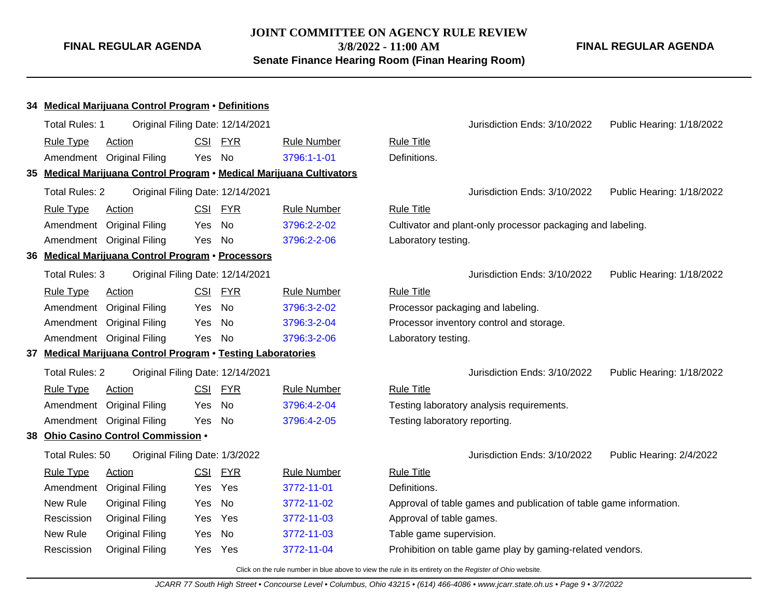**3/8/2022 - 11:00 AM**

**Senate Finance Hearing Room (Finan Hearing Room)**

**FINAL REGULAR AGENDA**

|    |                       | 34 Medical Marijuana Control Program . Definitions                   |            |            |                    |                               |                                                                    |                           |
|----|-----------------------|----------------------------------------------------------------------|------------|------------|--------------------|-------------------------------|--------------------------------------------------------------------|---------------------------|
|    | <b>Total Rules: 1</b> | Original Filing Date: 12/14/2021                                     |            |            |                    |                               | Jurisdiction Ends: 3/10/2022                                       | Public Hearing: 1/18/2022 |
|    | <b>Rule Type</b>      | Action                                                               | CSI        | <b>FYR</b> | <b>Rule Number</b> | <b>Rule Title</b>             |                                                                    |                           |
|    |                       | Amendment Original Filing                                            | Yes        | No         | 3796:1-1-01        | Definitions.                  |                                                                    |                           |
|    |                       | 35 Medical Marijuana Control Program • Medical Marijuana Cultivators |            |            |                    |                               |                                                                    |                           |
|    | <b>Total Rules: 2</b> | Original Filing Date: 12/14/2021                                     |            |            |                    |                               | Jurisdiction Ends: 3/10/2022                                       | Public Hearing: 1/18/2022 |
|    | <b>Rule Type</b>      | Action                                                               | CSI        | <b>FYR</b> | <b>Rule Number</b> | <b>Rule Title</b>             |                                                                    |                           |
|    | Amendment             | <b>Original Filing</b>                                               | Yes        | No         | 3796:2-2-02        |                               | Cultivator and plant-only processor packaging and labeling.        |                           |
|    |                       | Amendment Original Filing                                            | Yes        | <b>No</b>  | 3796:2-2-06        | Laboratory testing.           |                                                                    |                           |
|    |                       | 36 Medical Marijuana Control Program • Processors                    |            |            |                    |                               |                                                                    |                           |
|    | Total Rules: 3        | Original Filing Date: 12/14/2021                                     |            |            |                    |                               | Jurisdiction Ends: 3/10/2022                                       | Public Hearing: 1/18/2022 |
|    | <b>Rule Type</b>      | <b>Action</b>                                                        | CSI        | <b>FYR</b> | <b>Rule Number</b> | <b>Rule Title</b>             |                                                                    |                           |
|    | Amendment             | <b>Original Filing</b>                                               | Yes        | No         | 3796:3-2-02        |                               | Processor packaging and labeling.                                  |                           |
|    | Amendment             | <b>Original Filing</b>                                               | Yes        | <b>No</b>  | 3796:3-2-04        |                               | Processor inventory control and storage.                           |                           |
|    |                       | Amendment Original Filing                                            | Yes        | <b>No</b>  | 3796:3-2-06        | Laboratory testing.           |                                                                    |                           |
|    |                       | 37 Medical Marijuana Control Program . Testing Laboratories          |            |            |                    |                               |                                                                    |                           |
|    | <b>Total Rules: 2</b> | Original Filing Date: 12/14/2021                                     |            |            |                    |                               | Jurisdiction Ends: 3/10/2022                                       | Public Hearing: 1/18/2022 |
|    | <b>Rule Type</b>      | Action                                                               | CSI        | <b>FYR</b> | <b>Rule Number</b> | <b>Rule Title</b>             |                                                                    |                           |
|    | Amendment             | <b>Original Filing</b>                                               | Yes        | No         | 3796:4-2-04        |                               | Testing laboratory analysis requirements.                          |                           |
|    |                       | Amendment Original Filing                                            | Yes        | No         | 3796:4-2-05        | Testing laboratory reporting. |                                                                    |                           |
| 38 |                       | Ohio Casino Control Commission .                                     |            |            |                    |                               |                                                                    |                           |
|    | Total Rules: 50       | Original Filing Date: 1/3/2022                                       |            |            |                    |                               | Jurisdiction Ends: 3/10/2022                                       | Public Hearing: 2/4/2022  |
|    | <b>Rule Type</b>      | <b>Action</b>                                                        | <b>CSI</b> | <b>FYR</b> | <b>Rule Number</b> | <b>Rule Title</b>             |                                                                    |                           |
|    | Amendment             | <b>Original Filing</b>                                               | Yes.       | Yes        | 3772-11-01         | Definitions.                  |                                                                    |                           |
|    | New Rule              | <b>Original Filing</b>                                               | Yes        | No         | 3772-11-02         |                               | Approval of table games and publication of table game information. |                           |
|    | Rescission            | <b>Original Filing</b>                                               | Yes        | Yes        | 3772-11-03         | Approval of table games.      |                                                                    |                           |
|    | New Rule              | <b>Original Filing</b>                                               | Yes        | <b>No</b>  | 3772-11-03         | Table game supervision.       |                                                                    |                           |
|    | Rescission            | <b>Original Filing</b>                                               | Yes        | Yes        | 3772-11-04         |                               | Prohibition on table game play by gaming-related vendors.          |                           |

Click on the rule number in blue above to view the rule in its entirety on the Register of Ohio website.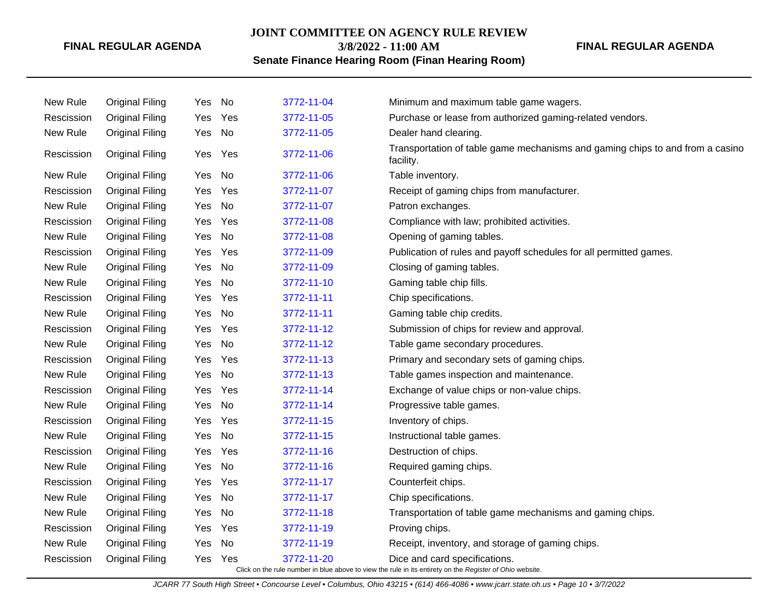### **JOINT COMMITTEE ON AGENCY RULE REVIEW**

**3/8/2022 - 11:00 AM**

### **FINAL REGULAR AGENDA**

# **Senate Finance Hearing Room (Finan Hearing Room)**

| New Rule   | <b>Original Filing</b> | Yes  | No         | 3772-11-04 | Minimum and maximum table game wagers.                                                                   |
|------------|------------------------|------|------------|------------|----------------------------------------------------------------------------------------------------------|
| Rescission | <b>Original Filing</b> | Yes  | Yes        | 3772-11-05 | Purchase or lease from authorized gaming-related vendors.                                                |
| New Rule   | <b>Original Filing</b> | Yes  | No         | 3772-11-05 | Dealer hand clearing.                                                                                    |
| Rescission | <b>Original Filing</b> | Yes  | Yes        | 3772-11-06 | Transportation of table game mechanisms and gaming chips to and from a casino<br>facility.               |
| New Rule   | <b>Original Filing</b> | Yes. | No         | 3772-11-06 | Table inventory.                                                                                         |
| Rescission | <b>Original Filing</b> | Yes  | Yes        | 3772-11-07 | Receipt of gaming chips from manufacturer.                                                               |
| New Rule   | <b>Original Filing</b> | Yes  | No         | 3772-11-07 | Patron exchanges.                                                                                        |
| Rescission | <b>Original Filing</b> | Yes  | Yes        | 3772-11-08 | Compliance with law; prohibited activities.                                                              |
| New Rule   | <b>Original Filing</b> | Yes  | No         | 3772-11-08 | Opening of gaming tables.                                                                                |
| Rescission | <b>Original Filing</b> | Yes  | Yes        | 3772-11-09 | Publication of rules and payoff schedules for all permitted games.                                       |
| New Rule   | <b>Original Filing</b> | Yes. | No         | 3772-11-09 | Closing of gaming tables.                                                                                |
| New Rule   | <b>Original Filing</b> | Yes  | No         | 3772-11-10 | Gaming table chip fills.                                                                                 |
| Rescission | <b>Original Filing</b> | Yes  | Yes        | 3772-11-11 | Chip specifications.                                                                                     |
| New Rule   | <b>Original Filing</b> | Yes  | <b>No</b>  | 3772-11-11 | Gaming table chip credits.                                                                               |
| Rescission | <b>Original Filing</b> | Yes  | Yes        | 3772-11-12 | Submission of chips for review and approval.                                                             |
| New Rule   | <b>Original Filing</b> | Yes  | No         | 3772-11-12 | Table game secondary procedures.                                                                         |
| Rescission | <b>Original Filing</b> | Yes  | Yes        | 3772-11-13 | Primary and secondary sets of gaming chips.                                                              |
| New Rule   | <b>Original Filing</b> | Yes. | No         | 3772-11-13 | Table games inspection and maintenance.                                                                  |
| Rescission | <b>Original Filing</b> | Yes  | Yes        | 3772-11-14 | Exchange of value chips or non-value chips.                                                              |
| New Rule   | <b>Original Filing</b> | Yes  | No         | 3772-11-14 | Progressive table games.                                                                                 |
| Rescission | <b>Original Filing</b> | Yes  | Yes        | 3772-11-15 | Inventory of chips.                                                                                      |
| New Rule   | <b>Original Filing</b> | Yes  | No         | 3772-11-15 | Instructional table games.                                                                               |
| Rescission | <b>Original Filing</b> | Yes  | Yes        | 3772-11-16 | Destruction of chips.                                                                                    |
| New Rule   | <b>Original Filing</b> | Yes  | No         | 3772-11-16 | Required gaming chips.                                                                                   |
| Rescission | <b>Original Filing</b> | Yes  | <b>Yes</b> | 3772-11-17 | Counterfeit chips.                                                                                       |
| New Rule   | <b>Original Filing</b> | Yes  | No         | 3772-11-17 | Chip specifications.                                                                                     |
| New Rule   | <b>Original Filing</b> | Yes  | No         | 3772-11-18 | Transportation of table game mechanisms and gaming chips.                                                |
| Rescission | <b>Original Filing</b> | Yes  | Yes        | 3772-11-19 | Proving chips.                                                                                           |
| New Rule   | <b>Original Filing</b> | Yes  | No         | 3772-11-19 | Receipt, inventory, and storage of gaming chips.                                                         |
| Rescission | <b>Original Filing</b> | Yes  | Yes        | 3772-11-20 | Dice and card specifications.                                                                            |
|            |                        |      |            |            | Click on the rule number in blue above to view the rule in its entirety on the Register of Ohio website. |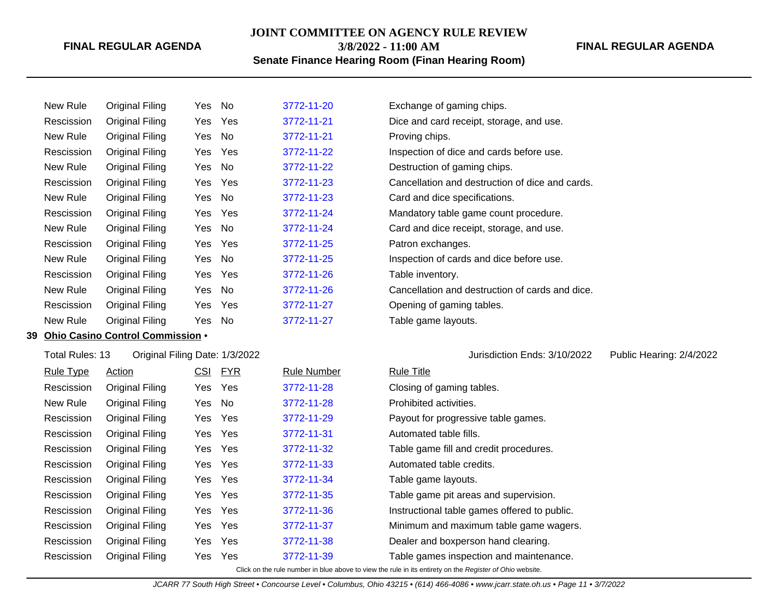### **JOINT COMMITTEE ON AGENCY RULE REVIEW**

**3/8/2022 - 11:00 AM**

# **Senate Finance Hearing Room (Finan Hearing Room)**

# **FINAL REGULAR AGENDA**

| New Rule   | Original Filing        | Yes  | No  | 3772-11-20 |
|------------|------------------------|------|-----|------------|
| Rescission | <b>Original Filing</b> | Yes  | Yes | 3772-11-21 |
| New Rule   | Original Filing        | Yes  | No. | 3772-11-21 |
| Rescission | Original Filing        | Yes  | Yes | 3772-11-22 |
| New Rule   | Original Filing        | Yes  | No. | 3772-11-22 |
| Rescission | <b>Original Filing</b> | Yes  | Yes | 3772-11-23 |
| New Rule   | Original Filing        | Yes. | No. | 3772-11-23 |
| Rescission | Original Filing        | Yes  | Yes | 3772-11-24 |
| New Rule   | Original Filing        | Yes  | No. | 3772-11-24 |
| Rescission | Original Filing        | Yes. | Yes | 3772-11-25 |
| New Rule   | Original Filing        | Yes  | No. | 3772-11-25 |
| Rescission | Original Filing        | Yes. | Yes | 3772-11-26 |
| New Rule   | Original Filing        | Yes  | No. | 3772-11-26 |
| Rescission | Original Filing        | Yes  | Yes | 3772-11-27 |
| New Rule   | <b>Original Filing</b> | Yes  | No. | 3772-11-27 |
|            |                        |      |     |            |

### **39 Ohio Casino Control Commission** •

Total Rules: 13 Original Filing Date: 1/3/2022 Jurisdiction Ends: 3/10/2022 Public Hearing: 2/4/2022

Exchange of gaming chips. Dice and card receipt, storage, and use. Proving chips. Inspection of dice and cards before use. Destruction of gaming chips. Cancellation and destruction of dice and cards. Card and dice specifications. Mandatory table game count procedure. Card and dice receipt, storage, and use. Patron exchanges. Inspection of cards and dice before use. Table inventory. Cancellation and destruction of cards and dice. Opening of gaming tables. Table game layouts.

| <b>Rule Type</b> | <b>Action</b>          | <u>CSI</u> | <u>FYR</u> | <b>Rule Number</b> | <b>Rule Title</b>                            |
|------------------|------------------------|------------|------------|--------------------|----------------------------------------------|
| Rescission       | Original Filing        | Yes        | Yes        | 3772-11-28         | Closing of gaming tables.                    |
| New Rule         | Original Filing        | Yes        | No.        | 3772-11-28         | Prohibited activities.                       |
| Rescission       | Original Filing        | Yes        | <b>Yes</b> | 3772-11-29         | Payout for progressive table games.          |
| Rescission       | Original Filing        | Yes        | <b>Yes</b> | 3772-11-31         | Automated table fills.                       |
| Rescission       | Original Filing        | Yes        | Yes        | 3772-11-32         | Table game fill and credit procedures.       |
| Rescission       | Original Filing        | Yes        | Yes        | 3772-11-33         | Automated table credits.                     |
| Rescission       | Original Filing        | Yes        | Yes        | 3772-11-34         | Table game layouts.                          |
| Rescission       | Original Filing        | Yes        | Yes        | 3772-11-35         | Table game pit areas and supervision.        |
| Rescission       | Original Filing        | Yes        | Yes        | 3772-11-36         | Instructional table games offered to public. |
| Rescission       | Original Filing        | Yes        | Yes        | 3772-11-37         | Minimum and maximum table game wagers.       |
| Rescission       | Original Filing        | Yes        | Yes        | 3772-11-38         | Dealer and boxperson hand clearing.          |
| Rescission       | <b>Original Filing</b> | Yes        | <b>Yes</b> | 3772-11-39         | Table games inspection and maintenance.      |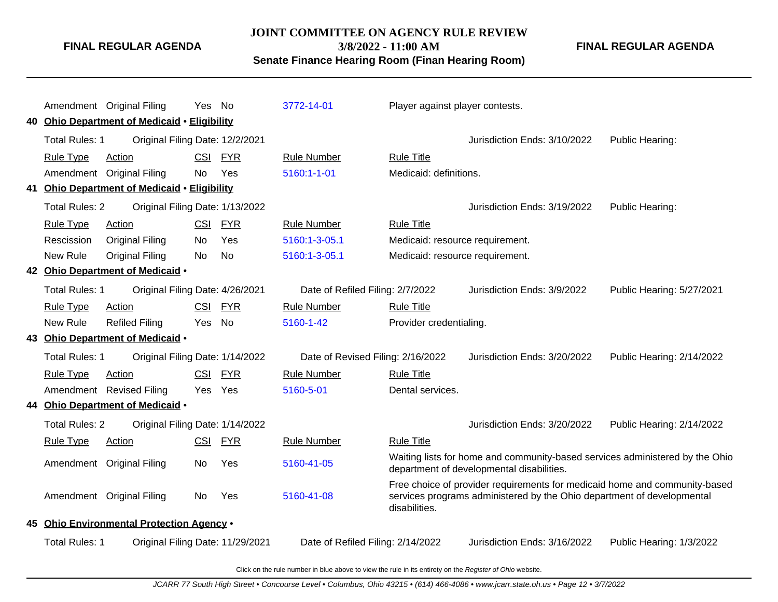**FINAL REGULAR AGENDA**

**3/8/2022 - 11:00 AM Senate Finance Hearing Room (Finan Hearing Room)** **FINAL REGULAR AGENDA**

|     |                       | Amendment Original Filing                        | Yes No     |            | 3772-14-01                        | Player against player contests. |                                                                                                                                                      |                           |
|-----|-----------------------|--------------------------------------------------|------------|------------|-----------------------------------|---------------------------------|------------------------------------------------------------------------------------------------------------------------------------------------------|---------------------------|
| 40  |                       | <b>Ohio Department of Medicaid • Eligibility</b> |            |            |                                   |                                 |                                                                                                                                                      |                           |
|     | Total Rules: 1        | Original Filing Date: 12/2/2021                  |            |            |                                   |                                 | Jurisdiction Ends: 3/10/2022                                                                                                                         | Public Hearing:           |
|     | <b>Rule Type</b>      | Action                                           | <b>CSI</b> | <b>FYR</b> | <b>Rule Number</b>                | <b>Rule Title</b>               |                                                                                                                                                      |                           |
|     |                       | Amendment Original Filing                        | No         | Yes        | 5160:1-1-01                       | Medicaid: definitions.          |                                                                                                                                                      |                           |
| 41. |                       | <b>Ohio Department of Medicaid • Eligibility</b> |            |            |                                   |                                 |                                                                                                                                                      |                           |
|     | <b>Total Rules: 2</b> | Original Filing Date: 1/13/2022                  |            |            |                                   |                                 | Jurisdiction Ends: 3/19/2022                                                                                                                         | Public Hearing:           |
|     | <b>Rule Type</b>      | Action                                           | <b>CSI</b> | <u>FYR</u> | <b>Rule Number</b>                | <b>Rule Title</b>               |                                                                                                                                                      |                           |
|     | Rescission            | <b>Original Filing</b>                           | No         | Yes        | 5160:1-3-05.1                     | Medicaid: resource requirement. |                                                                                                                                                      |                           |
|     | New Rule              | <b>Original Filing</b>                           | No         | <b>No</b>  | 5160:1-3-05.1                     | Medicaid: resource requirement. |                                                                                                                                                      |                           |
|     |                       | 42 Ohio Department of Medicaid .                 |            |            |                                   |                                 |                                                                                                                                                      |                           |
|     | <b>Total Rules: 1</b> | Original Filing Date: 4/26/2021                  |            |            | Date of Refiled Filing: 2/7/2022  |                                 | Jurisdiction Ends: 3/9/2022                                                                                                                          | Public Hearing: 5/27/2021 |
|     | <b>Rule Type</b>      | Action                                           | <b>CSI</b> | <b>FYR</b> | <b>Rule Number</b>                | <b>Rule Title</b>               |                                                                                                                                                      |                           |
|     | New Rule              | <b>Refiled Filing</b>                            | Yes        | No         | 5160-1-42                         | Provider credentialing.         |                                                                                                                                                      |                           |
|     |                       | 43 Ohio Department of Medicaid .                 |            |            |                                   |                                 |                                                                                                                                                      |                           |
|     | <b>Total Rules: 1</b> | Original Filing Date: 1/14/2022                  |            |            | Date of Revised Filing: 2/16/2022 |                                 | Jurisdiction Ends: 3/20/2022                                                                                                                         | Public Hearing: 2/14/2022 |
|     | <b>Rule Type</b>      | <b>Action</b>                                    |            | CSI FYR    | <b>Rule Number</b>                | <b>Rule Title</b>               |                                                                                                                                                      |                           |
|     |                       | Amendment Revised Filing                         |            | Yes Yes    | 5160-5-01                         | Dental services.                |                                                                                                                                                      |                           |
|     |                       | 44 Ohio Department of Medicaid .                 |            |            |                                   |                                 |                                                                                                                                                      |                           |
|     | <b>Total Rules: 2</b> | Original Filing Date: 1/14/2022                  |            |            |                                   |                                 | Jurisdiction Ends: 3/20/2022                                                                                                                         | Public Hearing: 2/14/2022 |
|     | <b>Rule Type</b>      | <b>Action</b>                                    |            | CSI FYR    | <b>Rule Number</b>                | <b>Rule Title</b>               |                                                                                                                                                      |                           |
|     |                       | Amendment Original Filing                        | No         | Yes        | 5160-41-05                        |                                 | Waiting lists for home and community-based services administered by the Ohio<br>department of developmental disabilities.                            |                           |
|     |                       | Amendment Original Filing                        | No         | Yes        | 5160-41-08                        | disabilities.                   | Free choice of provider requirements for medicaid home and community-based<br>services programs administered by the Ohio department of developmental |                           |
| 45. |                       | Ohio Environmental Protection Agency .           |            |            |                                   |                                 |                                                                                                                                                      |                           |
|     | <b>Total Rules: 1</b> | Original Filing Date: 11/29/2021                 |            |            | Date of Refiled Filing: 2/14/2022 |                                 | Jurisdiction Ends: 3/16/2022                                                                                                                         | Public Hearing: 1/3/2022  |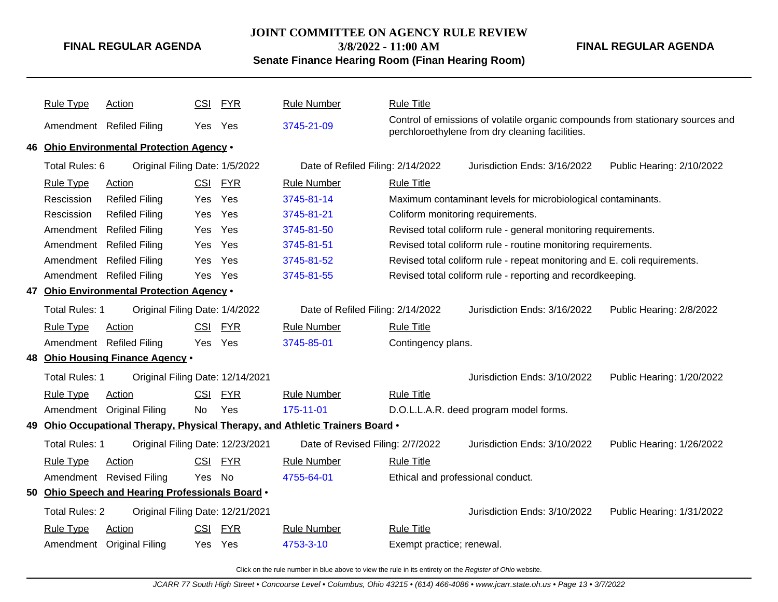### **JOINT COMMITTEE ON AGENCY RULE REVIEW**

**3/8/2022 - 11:00 AM**

**Senate Finance Hearing Room (Finan Hearing Room)**

**FINAL REGULAR AGENDA**

|     | <b>Rule Type</b>      | <b>Action</b>                                    | <b>CSI</b> | <b>FYR</b> | <b>Rule Number</b>                                                            | <b>Rule Title</b>                 |                                                                                                                                   |                           |
|-----|-----------------------|--------------------------------------------------|------------|------------|-------------------------------------------------------------------------------|-----------------------------------|-----------------------------------------------------------------------------------------------------------------------------------|---------------------------|
|     |                       | Amendment Refiled Filing                         |            | Yes Yes    | 3745-21-09                                                                    |                                   | Control of emissions of volatile organic compounds from stationary sources and<br>perchloroethylene from dry cleaning facilities. |                           |
| 46. |                       | Ohio Environmental Protection Agency .           |            |            |                                                                               |                                   |                                                                                                                                   |                           |
|     | Total Rules: 6        | Original Filing Date: 1/5/2022                   |            |            | Date of Refiled Filing: 2/14/2022                                             |                                   | Jurisdiction Ends: 3/16/2022                                                                                                      | Public Hearing: 2/10/2022 |
|     | <b>Rule Type</b>      | <b>Action</b>                                    |            | CSI FYR    | <b>Rule Number</b>                                                            | <b>Rule Title</b>                 |                                                                                                                                   |                           |
|     | Rescission            | <b>Refiled Filing</b>                            |            | Yes Yes    | 3745-81-14                                                                    |                                   | Maximum contaminant levels for microbiological contaminants.                                                                      |                           |
|     | Rescission            | <b>Refiled Filing</b>                            | Yes        | Yes        | 3745-81-21                                                                    | Coliform monitoring requirements. |                                                                                                                                   |                           |
|     | Amendment             | <b>Refiled Filing</b>                            | Yes        | Yes        | 3745-81-50                                                                    |                                   | Revised total coliform rule - general monitoring requirements.                                                                    |                           |
|     | Amendment             | <b>Refiled Filing</b>                            | Yes        | Yes        | 3745-81-51                                                                    |                                   | Revised total coliform rule - routine monitoring requirements.                                                                    |                           |
|     | Amendment             | <b>Refiled Filing</b>                            | Yes        | Yes        | 3745-81-52                                                                    |                                   | Revised total coliform rule - repeat monitoring and E. coli requirements.                                                         |                           |
|     |                       | Amendment Refiled Filing                         | Yes        | Yes        | 3745-81-55                                                                    |                                   | Revised total coliform rule - reporting and recordkeeping.                                                                        |                           |
| 47  |                       | Ohio Environmental Protection Agency .           |            |            |                                                                               |                                   |                                                                                                                                   |                           |
|     | Total Rules: 1        | Original Filing Date: 1/4/2022                   |            |            | Date of Refiled Filing: 2/14/2022                                             |                                   | Jurisdiction Ends: 3/16/2022                                                                                                      | Public Hearing: 2/8/2022  |
|     | <b>Rule Type</b>      | Action                                           | <b>CSI</b> | <u>FYR</u> | <b>Rule Number</b>                                                            | <b>Rule Title</b>                 |                                                                                                                                   |                           |
|     |                       | Amendment Refiled Filing                         | Yes        | Yes        | 3745-85-01                                                                    | Contingency plans.                |                                                                                                                                   |                           |
|     |                       | 48 Ohio Housing Finance Agency .                 |            |            |                                                                               |                                   |                                                                                                                                   |                           |
|     | Total Rules: 1        | Original Filing Date: 12/14/2021                 |            |            |                                                                               |                                   | Jurisdiction Ends: 3/10/2022                                                                                                      | Public Hearing: 1/20/2022 |
|     | <b>Rule Type</b>      | Action                                           | CSI        | <b>FYR</b> | <b>Rule Number</b>                                                            | <b>Rule Title</b>                 |                                                                                                                                   |                           |
|     | Amendment             | <b>Original Filing</b>                           | No         | Yes        | 175-11-01                                                                     |                                   | D.O.L.L.A.R. deed program model forms.                                                                                            |                           |
|     |                       |                                                  |            |            | 49 Ohio Occupational Therapy, Physical Therapy, and Athletic Trainers Board . |                                   |                                                                                                                                   |                           |
|     | Total Rules: 1        | Original Filing Date: 12/23/2021                 |            |            | Date of Revised Filing: 2/7/2022                                              |                                   | Jurisdiction Ends: 3/10/2022                                                                                                      | Public Hearing: 1/26/2022 |
|     | <b>Rule Type</b>      | Action                                           |            | CSI FYR    | <b>Rule Number</b>                                                            | <b>Rule Title</b>                 |                                                                                                                                   |                           |
|     |                       | Amendment Revised Filing                         | Yes No     |            | 4755-64-01                                                                    | Ethical and professional conduct. |                                                                                                                                   |                           |
|     |                       | 50 Ohio Speech and Hearing Professionals Board . |            |            |                                                                               |                                   |                                                                                                                                   |                           |
|     | <b>Total Rules: 2</b> | Original Filing Date: 12/21/2021                 |            |            |                                                                               |                                   | Jurisdiction Ends: 3/10/2022                                                                                                      | Public Hearing: 1/31/2022 |
|     | <b>Rule Type</b>      | Action                                           | <u>CSI</u> | <b>FYR</b> | <b>Rule Number</b>                                                            | <b>Rule Title</b>                 |                                                                                                                                   |                           |
|     | Amendment             | <b>Original Filing</b>                           |            | Yes Yes    | 4753-3-10                                                                     | Exempt practice; renewal.         |                                                                                                                                   |                           |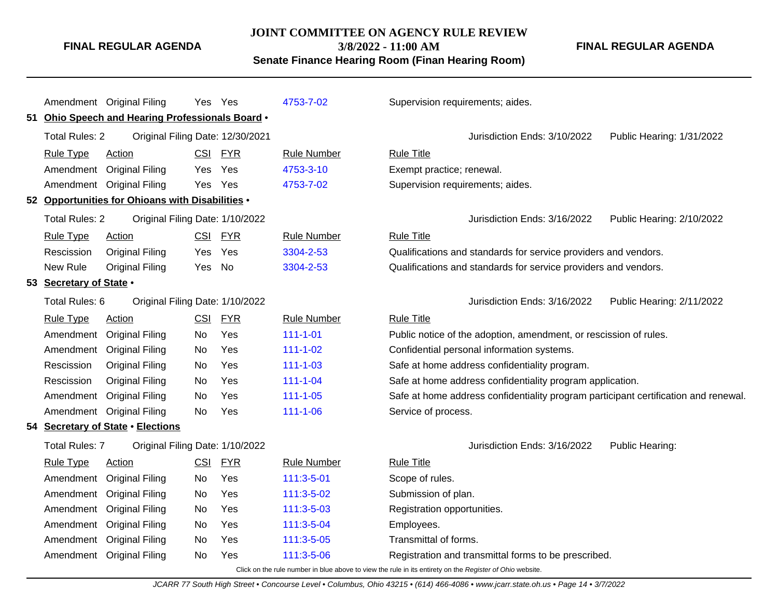**FINAL REGULAR AGENDA**

**3/8/2022 - 11:00 AM**

**Senate Finance Hearing Room (Finan Hearing Room)**

**FINAL REGULAR AGENDA**

|                         | Amendment Original Filing                        | Yes.       | Yes        | 4753-7-02          | Supervision requirements; aides.                                                                         |
|-------------------------|--------------------------------------------------|------------|------------|--------------------|----------------------------------------------------------------------------------------------------------|
|                         | 51 Ohio Speech and Hearing Professionals Board . |            |            |                    |                                                                                                          |
| <b>Total Rules: 2</b>   | Original Filing Date: 12/30/2021                 |            |            |                    | Jurisdiction Ends: 3/10/2022<br>Public Hearing: 1/31/2022                                                |
| <b>Rule Type</b>        | Action                                           | <b>CSI</b> | <b>FYR</b> | <b>Rule Number</b> | <b>Rule Title</b>                                                                                        |
|                         | Amendment Original Filing                        | Yes        | Yes        | 4753-3-10          | Exempt practice; renewal.                                                                                |
|                         | Amendment Original Filing                        | Yes Yes    |            | 4753-7-02          | Supervision requirements; aides.                                                                         |
|                         | 52 Opportunities for Ohioans with Disabilities . |            |            |                    |                                                                                                          |
| <b>Total Rules: 2</b>   | Original Filing Date: 1/10/2022                  |            |            |                    | Jurisdiction Ends: 3/16/2022<br>Public Hearing: 2/10/2022                                                |
| <b>Rule Type</b>        | Action                                           | <b>CSI</b> | <b>FYR</b> | <b>Rule Number</b> | <b>Rule Title</b>                                                                                        |
| Rescission              | <b>Original Filing</b>                           | Yes        | Yes        | 3304-2-53          | Qualifications and standards for service providers and vendors.                                          |
| New Rule                | <b>Original Filing</b>                           | Yes        | No         | 3304-2-53          | Qualifications and standards for service providers and vendors.                                          |
| 53 Secretary of State . |                                                  |            |            |                    |                                                                                                          |
| Total Rules: 6          | Original Filing Date: 1/10/2022                  |            |            |                    | Jurisdiction Ends: 3/16/2022<br>Public Hearing: 2/11/2022                                                |
| <b>Rule Type</b>        | <b>Action</b>                                    | <b>CSI</b> | <b>FYR</b> | <b>Rule Number</b> | <b>Rule Title</b>                                                                                        |
| Amendment               | <b>Original Filing</b>                           | No.        | Yes        | $111 - 1 - 01$     | Public notice of the adoption, amendment, or rescission of rules.                                        |
| Amendment               | <b>Original Filing</b>                           | No         | Yes        | $111 - 1 - 02$     | Confidential personal information systems.                                                               |
| Rescission              | <b>Original Filing</b>                           | No.        | Yes        | $111 - 1 - 03$     | Safe at home address confidentiality program.                                                            |
| Rescission              | <b>Original Filing</b>                           | No.        | Yes        | $111 - 1 - 04$     | Safe at home address confidentiality program application.                                                |
| Amendment               | <b>Original Filing</b>                           | No.        | Yes        | $111 - 1 - 05$     | Safe at home address confidentiality program participant certification and renewal.                      |
|                         | Amendment Original Filing                        | No.        | Yes        | $111 - 1 - 06$     | Service of process.                                                                                      |
|                         | 54 Secretary of State . Elections                |            |            |                    |                                                                                                          |
| <b>Total Rules: 7</b>   | Original Filing Date: 1/10/2022                  |            |            |                    | Jurisdiction Ends: 3/16/2022<br>Public Hearing:                                                          |
| <b>Rule Type</b>        | Action                                           | <b>CSI</b> | <b>FYR</b> | <b>Rule Number</b> | <b>Rule Title</b>                                                                                        |
| Amendment               | <b>Original Filing</b>                           | No.        | Yes        | 111:3-5-01         | Scope of rules.                                                                                          |
| Amendment               | <b>Original Filing</b>                           | No.        | Yes        | 111:3-5-02         | Submission of plan.                                                                                      |
| Amendment               | <b>Original Filing</b>                           | No         | Yes        | 111:3-5-03         | Registration opportunities.                                                                              |
| Amendment               | <b>Original Filing</b>                           | No.        | Yes        | 111:3-5-04         | Employees.                                                                                               |
| Amendment               | <b>Original Filing</b>                           | No.        | Yes        | 111:3-5-05         | Transmittal of forms.                                                                                    |
| Amendment               | <b>Original Filing</b>                           | No         | Yes        | 111:3-5-06         | Registration and transmittal forms to be prescribed.                                                     |
|                         |                                                  |            |            |                    | Click on the rule number in blue above to view the rule in its entirety on the Register of Ohio website. |

JCARR 77 South High Street • Concourse Level • Columbus, Ohio 43215 • (614) 466-4086 • www.jcarr.state.oh.us • Page 14 • 3/7/2022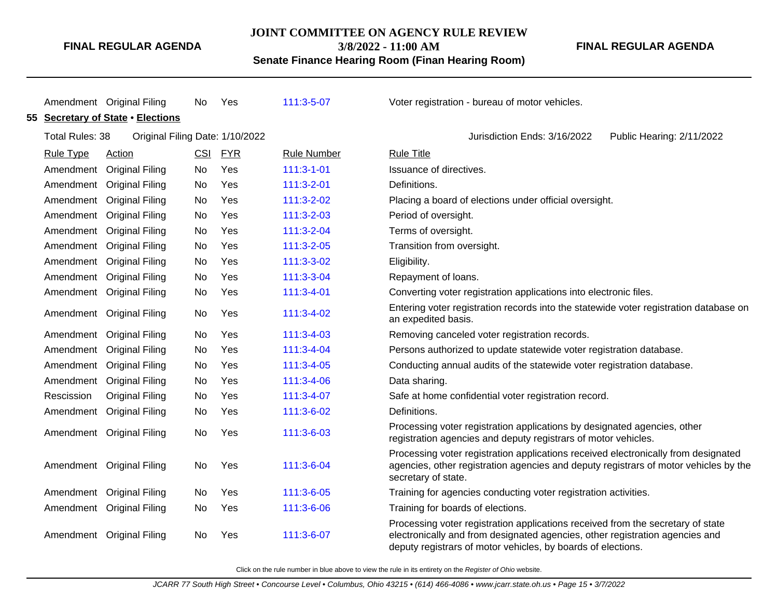### **JOINT COMMITTEE ON AGENCY RULE REVIEW**

**3/8/2022 - 11:00 AM**

**Senate Finance Hearing Room (Finan Hearing Room)**

**FINAL REGULAR AGENDA**

|                  | Amendment Original Filing         | No. | Yes        | 111:3-5-07         | Voter registration - bureau of motor vehicles.                                                                                                                                                                                  |
|------------------|-----------------------------------|-----|------------|--------------------|---------------------------------------------------------------------------------------------------------------------------------------------------------------------------------------------------------------------------------|
|                  | 55 Secretary of State · Elections |     |            |                    |                                                                                                                                                                                                                                 |
| Total Rules: 38  | Original Filing Date: 1/10/2022   |     |            |                    | Jurisdiction Ends: 3/16/2022<br>Public Hearing: 2/11/2022                                                                                                                                                                       |
| <b>Rule Type</b> | Action                            | CSI | <b>FYR</b> | <b>Rule Number</b> | <b>Rule Title</b>                                                                                                                                                                                                               |
|                  | Amendment Original Filing         | No. | Yes        | $111:3 - 1 - 01$   | Issuance of directives.                                                                                                                                                                                                         |
|                  | Amendment Original Filing         | No  | Yes        | $111:3-2-01$       | Definitions.                                                                                                                                                                                                                    |
|                  | Amendment Original Filing         | No  | Yes        | 111:3-2-02         | Placing a board of elections under official oversight.                                                                                                                                                                          |
|                  | Amendment Original Filing         | No  | Yes        | $111:3 - 2 - 03$   | Period of oversight.                                                                                                                                                                                                            |
|                  | Amendment Original Filing         | No  | Yes        | 111:3-2-04         | Terms of oversight.                                                                                                                                                                                                             |
|                  | Amendment Original Filing         | No  | Yes        | 111:3-2-05         | Transition from oversight.                                                                                                                                                                                                      |
|                  | Amendment Original Filing         | No  | Yes        | 111:3-3-02         | Eligibility.                                                                                                                                                                                                                    |
|                  | Amendment Original Filing         | No  | Yes        | 111:3-3-04         | Repayment of loans.                                                                                                                                                                                                             |
|                  | Amendment Original Filing         | No  | Yes        | $111:3 - 4 - 01$   | Converting voter registration applications into electronic files.                                                                                                                                                               |
|                  | Amendment Original Filing         | No  | Yes        | 111:3-4-02         | Entering voter registration records into the statewide voter registration database on<br>an expedited basis.                                                                                                                    |
|                  | Amendment Original Filing         | No  | Yes        | $111:3 - 4 - 03$   | Removing canceled voter registration records.                                                                                                                                                                                   |
|                  | Amendment Original Filing         | No  | Yes        | 111:3-4-04         | Persons authorized to update statewide voter registration database.                                                                                                                                                             |
|                  | Amendment Original Filing         | No  | Yes        | 111:3-4-05         | Conducting annual audits of the statewide voter registration database.                                                                                                                                                          |
|                  | Amendment Original Filing         | No  | Yes        | 111:3-4-06         | Data sharing.                                                                                                                                                                                                                   |
| Rescission       | <b>Original Filing</b>            | No  | Yes        | 111:3-4-07         | Safe at home confidential voter registration record.                                                                                                                                                                            |
|                  | Amendment Original Filing         | No  | Yes        | 111:3-6-02         | Definitions.                                                                                                                                                                                                                    |
|                  | Amendment Original Filing         | No  | Yes        | 111:3-6-03         | Processing voter registration applications by designated agencies, other<br>registration agencies and deputy registrars of motor vehicles.                                                                                      |
|                  | Amendment Original Filing         | No  | Yes        | 111:3-6-04         | Processing voter registration applications received electronically from designated<br>agencies, other registration agencies and deputy registrars of motor vehicles by the<br>secretary of state.                               |
|                  | Amendment Original Filing         | No. | Yes        | 111:3-6-05         | Training for agencies conducting voter registration activities.                                                                                                                                                                 |
|                  | Amendment Original Filing         | No  | Yes        | 111:3-6-06         | Training for boards of elections.                                                                                                                                                                                               |
|                  | Amendment Original Filing         | No  | Yes        | 111:3-6-07         | Processing voter registration applications received from the secretary of state<br>electronically and from designated agencies, other registration agencies and<br>deputy registrars of motor vehicles, by boards of elections. |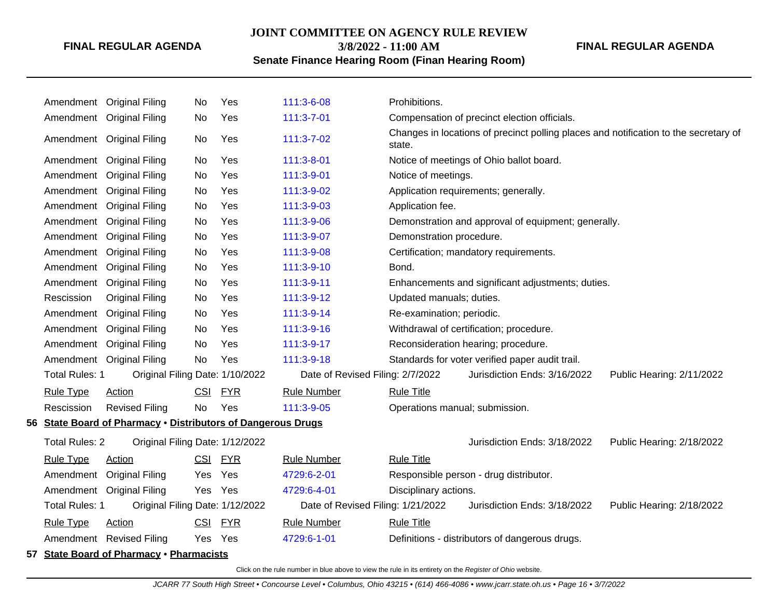### **JOINT COMMITTEE ON AGENCY RULE REVIEW**

**3/8/2022 - 11:00 AM**

### **Senate Finance Hearing Room (Finan Hearing Room)**

Amendment Original Filing No Yes [111:3-6-08](http://www.registerofohio.state.oh.us/jsps/publicdisplayrules/processPublicDisplayRules.jsp?entered_rule_no=111:3-6-08&doWhat=GETBYRULENUM&raID=0) Prohibitions. Amendment Original Filing No Yes [111:3-7-01](http://www.registerofohio.state.oh.us/jsps/publicdisplayrules/processPublicDisplayRules.jsp?entered_rule_no=111:3-7-01&doWhat=GETBYRULENUM&raID=0) Compensation of precinct election officials. Amendment Original Filing No Yes [111:3-7-02](http://www.registerofohio.state.oh.us/jsps/publicdisplayrules/processPublicDisplayRules.jsp?entered_rule_no=111:3-7-02&doWhat=GETBYRULENUM&raID=0) Changes in locations of precinct polling places and notification to the secretary of state. Amendment Original Filing No Yes [111:3-8-01](http://www.registerofohio.state.oh.us/jsps/publicdisplayrules/processPublicDisplayRules.jsp?entered_rule_no=111:3-8-01&doWhat=GETBYRULENUM&raID=0) Notice of meetings of Ohio ballot board. Amendment Original Filing No Yes [111:3-9-01](http://www.registerofohio.state.oh.us/jsps/publicdisplayrules/processPublicDisplayRules.jsp?entered_rule_no=111:3-9-01&doWhat=GETBYRULENUM&raID=0) Notice of meetings. Amendment Original Filing No Yes [111:3-9-02](http://www.registerofohio.state.oh.us/jsps/publicdisplayrules/processPublicDisplayRules.jsp?entered_rule_no=111:3-9-02&doWhat=GETBYRULENUM&raID=0) Application requirements; generally. Amendment Original Filing No Yes [111:3-9-03](http://www.registerofohio.state.oh.us/jsps/publicdisplayrules/processPublicDisplayRules.jsp?entered_rule_no=111:3-9-03&doWhat=GETBYRULENUM&raID=0) Application fee. Amendment Original Filing No Yes [111:3-9-06](http://www.registerofohio.state.oh.us/jsps/publicdisplayrules/processPublicDisplayRules.jsp?entered_rule_no=111:3-9-06&doWhat=GETBYRULENUM&raID=0) Demonstration and approval of equipment; generally. Amendment Original Filing No Yes [111:3-9-07](http://www.registerofohio.state.oh.us/jsps/publicdisplayrules/processPublicDisplayRules.jsp?entered_rule_no=111:3-9-07&doWhat=GETBYRULENUM&raID=0) Demonstration procedure. Amendment Original Filing No Yes [111:3-9-08](http://www.registerofohio.state.oh.us/jsps/publicdisplayrules/processPublicDisplayRules.jsp?entered_rule_no=111:3-9-08&doWhat=GETBYRULENUM&raID=0) Certification; mandatory requirements. Amendment Original Filing No Yes [111:3-9-10](http://www.registerofohio.state.oh.us/jsps/publicdisplayrules/processPublicDisplayRules.jsp?entered_rule_no=111:3-9-10&doWhat=GETBYRULENUM&raID=0) Bond. Amendment Original Filing No Yes [111:3-9-11](http://www.registerofohio.state.oh.us/jsps/publicdisplayrules/processPublicDisplayRules.jsp?entered_rule_no=111:3-9-11&doWhat=GETBYRULENUM&raID=0) Enhancements and significant adjustments; duties. Rescission Original Filing No Yes [111:3-9-12](http://www.registerofohio.state.oh.us/jsps/publicdisplayrules/processPublicDisplayRules.jsp?entered_rule_no=111:3-9-12&doWhat=GETBYRULENUM&raID=0) Updated manuals; duties. Amendment Original Filing No Yes [111:3-9-14](http://www.registerofohio.state.oh.us/jsps/publicdisplayrules/processPublicDisplayRules.jsp?entered_rule_no=111:3-9-14&doWhat=GETBYRULENUM&raID=0) Re-examination; periodic. Amendment Original Filing No Yes [111:3-9-16](http://www.registerofohio.state.oh.us/jsps/publicdisplayrules/processPublicDisplayRules.jsp?entered_rule_no=111:3-9-16&doWhat=GETBYRULENUM&raID=0) Withdrawal of certification; procedure. Amendment Original Filing No Yes [111:3-9-17](http://www.registerofohio.state.oh.us/jsps/publicdisplayrules/processPublicDisplayRules.jsp?entered_rule_no=111:3-9-17&doWhat=GETBYRULENUM&raID=0) Reconsideration hearing; procedure. Amendment Original Filing No Yes [111:3-9-18](http://www.registerofohio.state.oh.us/jsps/publicdisplayrules/processPublicDisplayRules.jsp?entered_rule_no=111:3-9-18&doWhat=GETBYRULENUM&raID=0) Standards for voter verified paper audit trail. Total Rules: 1 Original Filing Date: 1/10/2022 Date of Revised Filing: 2/7/2022 Jurisdiction Ends: 3/16/2022 Public Hearing: 2/11/2022 Rule Type Action **CSI FYR** Rule Number Rule Title Rescission Revised Filing No Yes [111:3-9-05](http://www.registerofohio.state.oh.us/jsps/publicdisplayrules/processPublicDisplayRules.jsp?entered_rule_no=111:3-9-05&doWhat=GETBYRULENUM&raID=0) Operations manual: submission. **56 State Board of Pharmacy** • **Distributors of Dangerous Drugs** Total Rules: 2 Original Filing Date: 1/12/2022 **Jurisdiction Ends: 3/18/2022** Public Hearing: 2/18/2022 Rule Type Action CSI FYR Rule Number Rule Title Amendment Original Filing Yes Yes [4729:6-2-01](http://www.registerofohio.state.oh.us/jsps/publicdisplayrules/processPublicDisplayRules.jsp?entered_rule_no=4729:6-2-01&doWhat=GETBYRULENUM&raID=0) Responsible person - drug distributor. Amendment Original Filing Yes Yes [4729:6-4-01](http://www.registerofohio.state.oh.us/jsps/publicdisplayrules/processPublicDisplayRules.jsp?entered_rule_no=4729:6-4-01&doWhat=GETBYRULENUM&raID=0) Disciplinary actions. Total Rules: 1 Original Filing Date: 1/12/2022 Date of Revised Filing: 1/21/2022 Jurisdiction Ends: 3/18/2022 Public Hearing: 2/18/2022 Rule Type Action **CSI FYR** Rule Number Rule Title

**57 State Board of Pharmacy** • **Pharmacists**

Click on the rule number in blue above to view the rule in its entirety on the Register of Ohio website.

Amendment Revised Filing Yes Yes [4729:6-1-01](http://www.registerofohio.state.oh.us/jsps/publicdisplayrules/processPublicDisplayRules.jsp?entered_rule_no=4729:6-1-01&doWhat=GETBYRULENUM&raID=0) Definitions - distributors of dangerous drugs.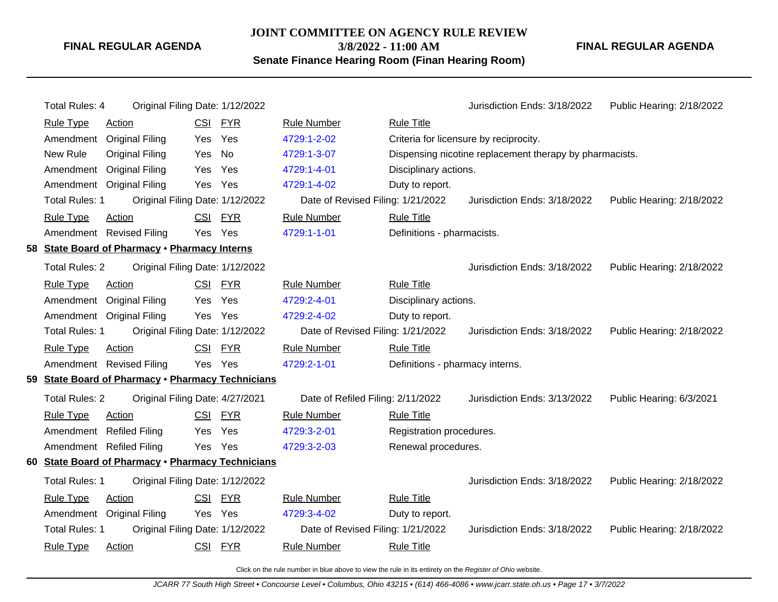### **JOINT COMMITTEE ON AGENCY RULE REVIEW**

**3/8/2022 - 11:00 AM**

**Senate Finance Hearing Room (Finan Hearing Room)**

**FINAL REGULAR AGENDA**

| <b>Total Rules: 4</b> | Original Filing Date: 1/12/2022                   |            |            |                                   |                                 | Jurisdiction Ends: 3/18/2022                            | Public Hearing: 2/18/2022 |
|-----------------------|---------------------------------------------------|------------|------------|-----------------------------------|---------------------------------|---------------------------------------------------------|---------------------------|
| <b>Rule Type</b>      | <b>Action</b>                                     |            | CSI FYR    | <b>Rule Number</b>                | <b>Rule Title</b>               |                                                         |                           |
| Amendment             | <b>Original Filing</b>                            | Yes Yes    |            | 4729:1-2-02                       |                                 | Criteria for licensure by reciprocity.                  |                           |
| New Rule              | <b>Original Filing</b>                            | Yes        | No         | 4729:1-3-07                       |                                 | Dispensing nicotine replacement therapy by pharmacists. |                           |
| Amendment             | <b>Original Filing</b>                            | Yes        | Yes        | 4729:1-4-01                       | Disciplinary actions.           |                                                         |                           |
|                       | Amendment Original Filing                         | Yes        | Yes        | 4729:1-4-02                       | Duty to report.                 |                                                         |                           |
| Total Rules: 1        | Original Filing Date: 1/12/2022                   |            |            | Date of Revised Filing: 1/21/2022 |                                 | Jurisdiction Ends: 3/18/2022                            | Public Hearing: 2/18/2022 |
| <b>Rule Type</b>      | <b>Action</b>                                     |            | CSI FYR    | <b>Rule Number</b>                | <b>Rule Title</b>               |                                                         |                           |
|                       | Amendment Revised Filing                          | Yes        | Yes        | 4729:1-1-01                       | Definitions - pharmacists.      |                                                         |                           |
|                       | 58 State Board of Pharmacy . Pharmacy Interns     |            |            |                                   |                                 |                                                         |                           |
| <b>Total Rules: 2</b> | Original Filing Date: 1/12/2022                   |            |            |                                   |                                 | Jurisdiction Ends: 3/18/2022                            | Public Hearing: 2/18/2022 |
| <b>Rule Type</b>      | Action                                            |            | CSI FYR    | <b>Rule Number</b>                | <b>Rule Title</b>               |                                                         |                           |
| Amendment             | <b>Original Filing</b>                            | Yes        | Yes        | 4729:2-4-01                       | Disciplinary actions.           |                                                         |                           |
|                       | Amendment Original Filing                         | Yes        | Yes        | 4729:2-4-02                       | Duty to report.                 |                                                         |                           |
| Total Rules: 1        | Original Filing Date: 1/12/2022                   |            |            | Date of Revised Filing: 1/21/2022 |                                 | Jurisdiction Ends: 3/18/2022                            | Public Hearing: 2/18/2022 |
| <b>Rule Type</b>      | Action                                            |            | CSI FYR    | <b>Rule Number</b>                | <b>Rule Title</b>               |                                                         |                           |
|                       | Amendment Revised Filing                          | Yes Yes    |            | 4729:2-1-01                       | Definitions - pharmacy interns. |                                                         |                           |
|                       | 59 State Board of Pharmacy . Pharmacy Technicians |            |            |                                   |                                 |                                                         |                           |
| <b>Total Rules: 2</b> | Original Filing Date: 4/27/2021                   |            |            | Date of Refiled Filing: 2/11/2022 |                                 | Jurisdiction Ends: 3/13/2022                            | Public Hearing: 6/3/2021  |
| <b>Rule Type</b>      | Action                                            | CSI        | FYR        | <b>Rule Number</b>                | <b>Rule Title</b>               |                                                         |                           |
|                       | Amendment Refiled Filing                          | Yes        | Yes        | 4729:3-2-01                       | Registration procedures.        |                                                         |                           |
|                       | Amendment Refiled Filing                          | Yes Yes    |            | 4729:3-2-03                       | Renewal procedures.             |                                                         |                           |
|                       | 60 State Board of Pharmacy . Pharmacy Technicians |            |            |                                   |                                 |                                                         |                           |
| Total Rules: 1        | Original Filing Date: 1/12/2022                   |            |            |                                   |                                 | Jurisdiction Ends: 3/18/2022                            | Public Hearing: 2/18/2022 |
| <b>Rule Type</b>      | Action                                            | <b>CSI</b> | <b>FYR</b> | <b>Rule Number</b>                | <b>Rule Title</b>               |                                                         |                           |
| Amendment             | <b>Original Filing</b>                            | Yes        | Yes        | 4729:3-4-02                       | Duty to report.                 |                                                         |                           |
| <b>Total Rules: 1</b> | Original Filing Date: 1/12/2022                   |            |            | Date of Revised Filing: 1/21/2022 |                                 | Jurisdiction Ends: 3/18/2022                            | Public Hearing: 2/18/2022 |
| <b>Rule Type</b>      | Action                                            |            | CSI FYR    | <b>Rule Number</b>                | <b>Rule Title</b>               |                                                         |                           |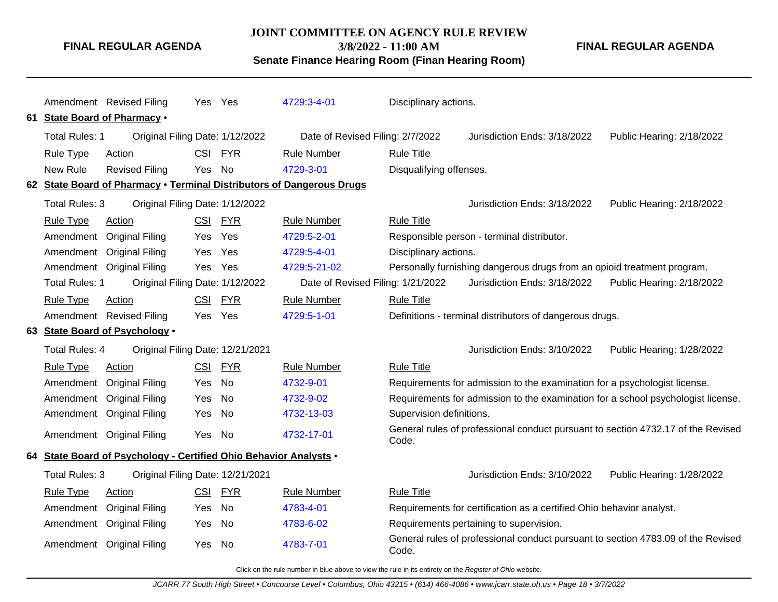#### **JOINT COMMITTEE ON AGENCY RULE REVIEW**

**3/8/2022 - 11:00 AM**

**FINAL REGULAR AGENDA**

**Senate Finance Hearing Room (Finan Hearing Room)**

Amendment Revised Filing Yes Yes [4729:3-4-01](http://www.registerofohio.state.oh.us/jsps/publicdisplayrules/processPublicDisplayRules.jsp?entered_rule_no=4729:3-4-01&doWhat=GETBYRULENUM&raID=0) Disciplinary actions. **61 State Board of Pharmacy** • Total Rules: 1 Original Filing Date: 1/12/2022 Date of Revised Filing: 2/7/2022 Jurisdiction Ends: 3/18/2022 Public Hearing: 2/18/2022 Rule Type Action **CSI FYR** Rule Number Rule Title New Rule Revised Filing Yes No [4729-3-01](http://www.registerofohio.state.oh.us/jsps/publicdisplayrules/processPublicDisplayRules.jsp?entered_rule_no=4729-3-01&doWhat=GETBYRULENUM&raID=0) Disqualifying offenses. **62 State Board of Pharmacy** • **Terminal Distributors of Dangerous Drugs** Total Rules: 3 Original Filing Date: 1/12/2022 Jurisdiction Ends: 3/18/2022 Public Hearing: 2/18/2022 Rule Type Action **CSI FYR** Rule Number Rule Title Amendment Original Filing Yes Yes [4729:5-2-01](http://www.registerofohio.state.oh.us/jsps/publicdisplayrules/processPublicDisplayRules.jsp?entered_rule_no=4729:5-2-01&doWhat=GETBYRULENUM&raID=0) Responsible person - terminal distributor. Amendment Original Filing Yes Yes [4729:5-4-01](http://www.registerofohio.state.oh.us/jsps/publicdisplayrules/processPublicDisplayRules.jsp?entered_rule_no=4729:5-4-01&doWhat=GETBYRULENUM&raID=0) Disciplinary actions. Amendment Original Filing Yes Yes [4729:5-21-02](http://www.registerofohio.state.oh.us/jsps/publicdisplayrules/processPublicDisplayRules.jsp?entered_rule_no=4729:5-21-02&doWhat=GETBYRULENUM&raID=0) Personally furnishing dangerous drugs from an opioid treatment program. Total Rules: 1 Original Filing Date: 1/12/2022 Date of Revised Filing: 1/21/2022 Jurisdiction Ends: 3/18/2022 Public Hearing: 2/18/2022 Rule Type Action **CSI FYR** Rule Number Rule Title Amendment Revised Filing Yes Yes [4729:5-1-01](http://www.registerofohio.state.oh.us/jsps/publicdisplayrules/processPublicDisplayRules.jsp?entered_rule_no=4729:5-1-01&doWhat=GETBYRULENUM&raID=0) Definitions - terminal distributors of dangerous drugs. **63 State Board of Psychology** • Total Rules: 4 Original Filing Date: 12/21/2021 Jurisdiction Ends: 3/10/2022 Public Hearing: 1/28/2022 Rule Type Action **CSI FYR** Rule Number Rule Title Amendment Original Filing Yes No [4732-9-01](http://www.registerofohio.state.oh.us/jsps/publicdisplayrules/processPublicDisplayRules.jsp?entered_rule_no=4732-9-01&doWhat=GETBYRULENUM&raID=0) Requirements for admission to the examination for a psychologist license. Amendment Original Filing Yes No [4732-9-02](http://www.registerofohio.state.oh.us/jsps/publicdisplayrules/processPublicDisplayRules.jsp?entered_rule_no=4732-9-02&doWhat=GETBYRULENUM&raID=0) Requirements for admission to the examination for a school psychologist license. Amendment Original Filing Yes No [4732-13-03](http://www.registerofohio.state.oh.us/jsps/publicdisplayrules/processPublicDisplayRules.jsp?entered_rule_no=4732-13-03&doWhat=GETBYRULENUM&raID=0) Supervision definitions. Amendment Original Filing Yes No [4732-17-01](http://www.registerofohio.state.oh.us/jsps/publicdisplayrules/processPublicDisplayRules.jsp?entered_rule_no=4732-17-01&doWhat=GETBYRULENUM&raID=0) General rules of professional conduct pursuant to section 4732.17 of the Revised Code. **64 State Board of Psychology - Certified Ohio Behavior Analysts** • Total Rules: 3 Original Filing Date: 12/21/2021 Jurisdiction Ends: 3/10/2022 Public Hearing: 1/28/2022 Rule Type Action **CSI FYR** Rule Number Rule Title Amendment Original Filing Yes No [4783-4-01](http://www.registerofohio.state.oh.us/jsps/publicdisplayrules/processPublicDisplayRules.jsp?entered_rule_no=4783-4-01&doWhat=GETBYRULENUM&raID=0) Requirements for certification as a certified Ohio behavior analyst. Amendment Original Filing Yes No [4783-6-02](http://www.registerofohio.state.oh.us/jsps/publicdisplayrules/processPublicDisplayRules.jsp?entered_rule_no=4783-6-02&doWhat=GETBYRULENUM&raID=0) Requirements pertaining to supervision. Amendment Original Filing Yes No [4783-7-01](http://www.registerofohio.state.oh.us/jsps/publicdisplayrules/processPublicDisplayRules.jsp?entered_rule_no=4783-7-01&doWhat=GETBYRULENUM&raID=0) General rules of professional conduct pursuant to section 4783.09 of the Revised Code.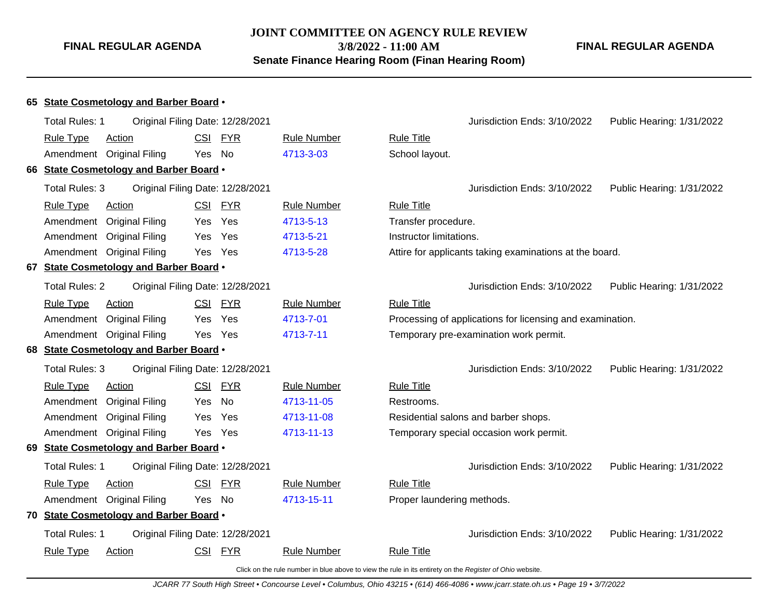**FINAL REGULAR AGENDA**

**3/8/2022 - 11:00 AM**

**Senate Finance Hearing Room (Finan Hearing Room)**

**FINAL REGULAR AGENDA**

| 65  |                       | State Cosmetology and Barber Board .        |                                  |                    |                            |                                                           |                           |
|-----|-----------------------|---------------------------------------------|----------------------------------|--------------------|----------------------------|-----------------------------------------------------------|---------------------------|
|     | <b>Total Rules: 1</b> |                                             | Original Filing Date: 12/28/2021 |                    |                            | Jurisdiction Ends: 3/10/2022                              | Public Hearing: 1/31/2022 |
|     | <b>Rule Type</b>      | Action                                      | CSI FYR                          | <b>Rule Number</b> | <b>Rule Title</b>          |                                                           |                           |
|     |                       | Amendment Original Filing                   | Yes No                           | 4713-3-03          | School layout.             |                                                           |                           |
| 66  |                       | <b>State Cosmetology and Barber Board .</b> |                                  |                    |                            |                                                           |                           |
|     | Total Rules: 3        |                                             | Original Filing Date: 12/28/2021 |                    |                            | Jurisdiction Ends: 3/10/2022                              | Public Hearing: 1/31/2022 |
|     | <b>Rule Type</b>      | <b>Action</b>                               | CSI<br><b>FYR</b>                | <b>Rule Number</b> | <b>Rule Title</b>          |                                                           |                           |
|     | Amendment             | <b>Original Filing</b>                      | Yes<br>Yes                       | 4713-5-13          | Transfer procedure.        |                                                           |                           |
|     |                       | Amendment Original Filing                   | Yes<br>Yes                       | 4713-5-21          | Instructor limitations.    |                                                           |                           |
|     |                       | Amendment Original Filing                   | Yes Yes                          | 4713-5-28          |                            | Attire for applicants taking examinations at the board.   |                           |
|     |                       | 67 State Cosmetology and Barber Board .     |                                  |                    |                            |                                                           |                           |
|     | <b>Total Rules: 2</b> |                                             | Original Filing Date: 12/28/2021 |                    |                            | Jurisdiction Ends: 3/10/2022                              | Public Hearing: 1/31/2022 |
|     | <b>Rule Type</b>      | Action                                      | CSI FYR                          | <b>Rule Number</b> | <b>Rule Title</b>          |                                                           |                           |
|     |                       | Amendment Original Filing                   | Yes<br>Yes                       | 4713-7-01          |                            | Processing of applications for licensing and examination. |                           |
|     |                       | Amendment Original Filing                   | Yes Yes                          | 4713-7-11          |                            | Temporary pre-examination work permit.                    |                           |
|     |                       | 68 State Cosmetology and Barber Board .     |                                  |                    |                            |                                                           |                           |
|     | <b>Total Rules: 3</b> |                                             | Original Filing Date: 12/28/2021 |                    |                            | Jurisdiction Ends: 3/10/2022                              | Public Hearing: 1/31/2022 |
|     | <b>Rule Type</b>      | Action                                      | CSI FYR                          | <b>Rule Number</b> | <b>Rule Title</b>          |                                                           |                           |
|     |                       | Amendment Original Filing                   | No<br>Yes                        | 4713-11-05         | Restrooms.                 |                                                           |                           |
|     | Amendment             | <b>Original Filing</b>                      | Yes<br>Yes.                      | 4713-11-08         |                            | Residential salons and barber shops.                      |                           |
|     |                       | Amendment Original Filing                   | Yes Yes                          | 4713-11-13         |                            | Temporary special occasion work permit.                   |                           |
| 69. |                       | <b>State Cosmetology and Barber Board .</b> |                                  |                    |                            |                                                           |                           |
|     | Total Rules: 1        |                                             | Original Filing Date: 12/28/2021 |                    |                            | Jurisdiction Ends: 3/10/2022                              | Public Hearing: 1/31/2022 |
|     | <b>Rule Type</b>      | <b>Action</b>                               | CSI<br><b>FYR</b>                | <b>Rule Number</b> | <b>Rule Title</b>          |                                                           |                           |
|     |                       | Amendment Original Filing                   | Yes No                           | 4713-15-11         | Proper laundering methods. |                                                           |                           |
|     |                       | 70 State Cosmetology and Barber Board .     |                                  |                    |                            |                                                           |                           |
|     | Total Rules: 1        |                                             | Original Filing Date: 12/28/2021 |                    |                            | Jurisdiction Ends: 3/10/2022                              | Public Hearing: 1/31/2022 |
|     | <b>Rule Type</b>      | Action                                      | <b>FYR</b><br><b>CSI</b>         | <b>Rule Number</b> | <b>Rule Title</b>          |                                                           |                           |
|     |                       |                                             |                                  |                    |                            |                                                           |                           |

Click on the rule number in blue above to view the rule in its entirety on the Register of Ohio website.

JCARR 77 South High Street • Concourse Level • Columbus, Ohio 43215 • (614) 466-4086 • www.jcarr.state.oh.us • Page 19 • 3/7/2022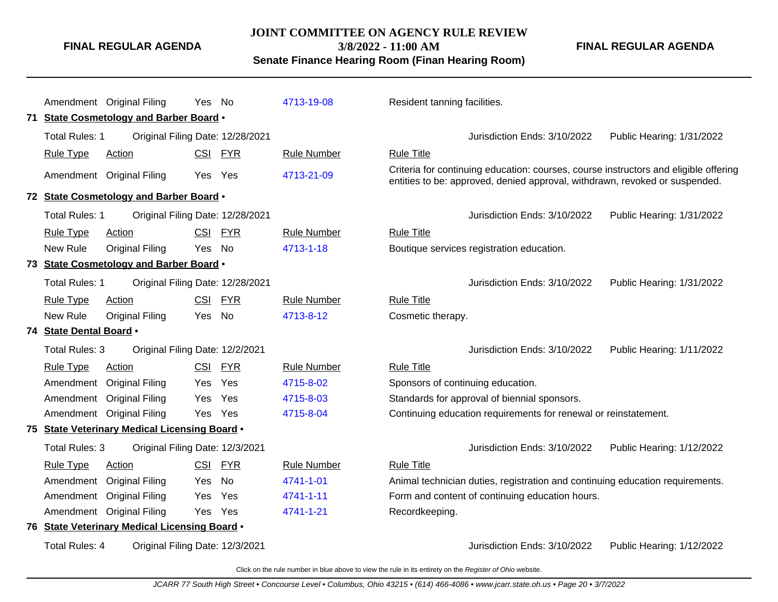**JOINT COMMITTEE ON AGENCY RULE REVIEW**

**3/8/2022 - 11:00 AM**

**Senate Finance Hearing Room (Finan Hearing Room)**

**FINAL REGULAR AGENDA**

|    |                         | Amendment Original Filing                     | Yes No     |            | 4713-19-08         | Resident tanning facilities. |                                                                                                                                                                     |                           |
|----|-------------------------|-----------------------------------------------|------------|------------|--------------------|------------------------------|---------------------------------------------------------------------------------------------------------------------------------------------------------------------|---------------------------|
| 71 |                         | <b>State Cosmetology and Barber Board •</b>   |            |            |                    |                              |                                                                                                                                                                     |                           |
|    | Total Rules: 1          | Original Filing Date: 12/28/2021              |            |            |                    |                              | Jurisdiction Ends: 3/10/2022                                                                                                                                        | Public Hearing: 1/31/2022 |
|    | <b>Rule Type</b>        | Action                                        |            | CSI FYR    | <b>Rule Number</b> | <b>Rule Title</b>            |                                                                                                                                                                     |                           |
|    |                         | Amendment Original Filing                     |            | Yes Yes    | 4713-21-09         |                              | Criteria for continuing education: courses, course instructors and eligible offering<br>entities to be: approved, denied approval, withdrawn, revoked or suspended. |                           |
|    |                         | 72 State Cosmetology and Barber Board .       |            |            |                    |                              |                                                                                                                                                                     |                           |
|    | Total Rules: 1          | Original Filing Date: 12/28/2021              |            |            |                    |                              | Jurisdiction Ends: 3/10/2022                                                                                                                                        | Public Hearing: 1/31/2022 |
|    | <b>Rule Type</b>        | Action                                        | <b>CSI</b> | <b>FYR</b> | <b>Rule Number</b> | <b>Rule Title</b>            |                                                                                                                                                                     |                           |
|    | New Rule                | <b>Original Filing</b>                        | Yes No     |            | 4713-1-18          |                              | Boutique services registration education.                                                                                                                           |                           |
|    |                         | 73 State Cosmetology and Barber Board .       |            |            |                    |                              |                                                                                                                                                                     |                           |
|    | Total Rules: 1          | Original Filing Date: 12/28/2021              |            |            |                    |                              | Jurisdiction Ends: 3/10/2022                                                                                                                                        | Public Hearing: 1/31/2022 |
|    | <b>Rule Type</b>        | <b>Action</b>                                 | <b>CSI</b> | <b>FYR</b> | <b>Rule Number</b> | <b>Rule Title</b>            |                                                                                                                                                                     |                           |
|    | New Rule                | <b>Original Filing</b>                        | <b>Yes</b> | <b>No</b>  | 4713-8-12          | Cosmetic therapy.            |                                                                                                                                                                     |                           |
|    | 74 State Dental Board . |                                               |            |            |                    |                              |                                                                                                                                                                     |                           |
|    | Total Rules: 3          | Original Filing Date: 12/2/2021               |            |            |                    |                              | Jurisdiction Ends: 3/10/2022                                                                                                                                        | Public Hearing: 1/11/2022 |
|    | <b>Rule Type</b>        | Action                                        | <b>CSI</b> | <b>FYR</b> | <b>Rule Number</b> | <b>Rule Title</b>            |                                                                                                                                                                     |                           |
|    | Amendment               | <b>Original Filing</b>                        | Yes        | Yes        | 4715-8-02          |                              | Sponsors of continuing education.                                                                                                                                   |                           |
|    | Amendment               | <b>Original Filing</b>                        | Yes        | Yes        | 4715-8-03          |                              | Standards for approval of biennial sponsors.                                                                                                                        |                           |
|    | Amendment               | <b>Original Filing</b>                        | Yes        | Yes        | 4715-8-04          |                              | Continuing education requirements for renewal or reinstatement.                                                                                                     |                           |
|    |                         | 75 State Veterinary Medical Licensing Board . |            |            |                    |                              |                                                                                                                                                                     |                           |
|    | Total Rules: 3          | Original Filing Date: 12/3/2021               |            |            |                    |                              | Jurisdiction Ends: 3/10/2022                                                                                                                                        | Public Hearing: 1/12/2022 |
|    | <b>Rule Type</b>        | <b>Action</b>                                 |            | CSI FYR    | <b>Rule Number</b> | <b>Rule Title</b>            |                                                                                                                                                                     |                           |
|    | Amendment               | <b>Original Filing</b>                        | Yes        | No         | 4741-1-01          |                              | Animal technician duties, registration and continuing education requirements.                                                                                       |                           |
|    | Amendment               | <b>Original Filing</b>                        | Yes        | Yes        | 4741-1-11          |                              | Form and content of continuing education hours.                                                                                                                     |                           |
|    | Amendment               | <b>Original Filing</b>                        |            | Yes Yes    | 4741-1-21          | Recordkeeping.               |                                                                                                                                                                     |                           |
|    |                         | 76 State Veterinary Medical Licensing Board . |            |            |                    |                              |                                                                                                                                                                     |                           |
|    | <b>Total Rules: 4</b>   | Original Filing Date: 12/3/2021               |            |            |                    |                              | Jurisdiction Ends: 3/10/2022                                                                                                                                        | Public Hearing: 1/12/2022 |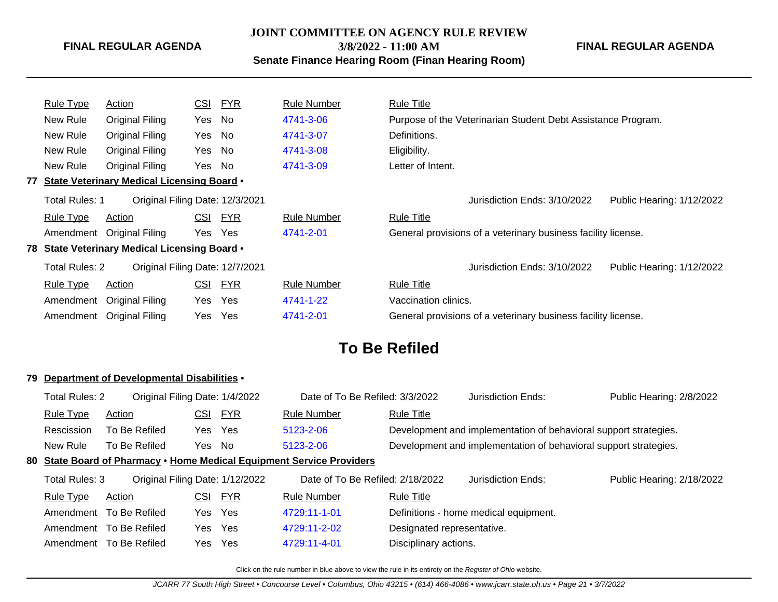### **JOINT COMMITTEE ON AGENCY RULE REVIEW**

**3/8/2022 - 11:00 AM**

**Senate Finance Hearing Room (Finan Hearing Room)**

#### **FINAL REGULAR AGENDA**

|      | <b>Rule Type</b> | Action                                     | <u>CSI</u> | <b>FYR</b> | <b>Rule Number</b> | <b>Rule Title</b>                                             |
|------|------------------|--------------------------------------------|------------|------------|--------------------|---------------------------------------------------------------|
|      | New Rule         | Original Filing                            | Yes        | No         | 4741-3-06          | Purpose of the Veterinarian Student Debt Assistance Program.  |
|      | New Rule         | <b>Original Filing</b>                     | Yes        | No         | 4741-3-07          | Definitions.                                                  |
|      | New Rule         | <b>Original Filing</b>                     | Yes        | No         | 4741-3-08          | Eligibility.                                                  |
|      | New Rule         | <b>Original Filing</b>                     | Yes        | No         | 4741-3-09          | Letter of Intent.                                             |
| 77   |                  | State Veterinary Medical Licensing Board . |            |            |                    |                                                               |
|      | Total Rules: 1   | Original Filing Date: 12/3/2021            |            |            |                    | Jurisdiction Ends: 3/10/2022<br>Public Hearing: 1/12/2022     |
|      | <u>Rule Type</u> | <b>Action</b>                              | <u>CSI</u> | <u>FYR</u> | <b>Rule Number</b> | <b>Rule Title</b>                                             |
|      |                  | Amendment Original Filing                  | Yes        | <b>Yes</b> | 4741-2-01          | General provisions of a veterinary business facility license. |
| 78 . |                  | State Veterinary Medical Licensing Board . |            |            |                    |                                                               |
|      | Total Rules: 2   | Original Filing Date: 12/7/2021            |            |            |                    | Jurisdiction Ends: 3/10/2022<br>Public Hearing: 1/12/2022     |
|      | <b>Rule Type</b> | Action                                     | <u>CSI</u> | <u>FYR</u> | <b>Rule Number</b> | <b>Rule Title</b>                                             |
|      | Amendment        | <b>Original Filing</b>                     | Yes        | Yes        | 4741-1-22          | Vaccination clinics.                                          |
|      | Amendment        | <b>Original Filing</b>                     | Yes        | Yes        | 4741-2-01          | General provisions of a veterinary business facility license. |
|      |                  |                                            |            |            |                    |                                                               |

# **To Be Refiled**

### **79 Department of Developmental Disabilities** •

| <b>Total Rules: 2</b> | Original Filing Date: 1/4/2022  |         |         | Date of To Be Refiled: 3/3/2022                                       |                            | Jurisdiction Ends:                                               | Public Hearing: 2/8/2022  |
|-----------------------|---------------------------------|---------|---------|-----------------------------------------------------------------------|----------------------------|------------------------------------------------------------------|---------------------------|
| <b>Rule Type</b>      | Action                          |         | CSI FYR | <b>Rule Number</b>                                                    | <b>Rule Title</b>          |                                                                  |                           |
| Rescission            | To Be Refiled                   | Yes Yes |         | 5123-2-06                                                             |                            | Development and implementation of behavioral support strategies. |                           |
| New Rule              | To Be Refiled                   | Yes No  |         | 5123-2-06                                                             |                            | Development and implementation of behavioral support strategies. |                           |
|                       |                                 |         |         | 80 State Board of Pharmacy • Home Medical Equipment Service Providers |                            |                                                                  |                           |
| Total Rules: 3        | Original Filing Date: 1/12/2022 |         |         | Date of To Be Refiled: 2/18/2022                                      |                            | Jurisdiction Ends:                                               | Public Hearing: 2/18/2022 |
| Rule Type             | Action                          |         | CSI FYR | <b>Rule Number</b>                                                    | Rule Title                 |                                                                  |                           |
| Amendment             | To Be Refiled                   | Yes     | Yes     | 4729:11-1-01                                                          |                            | Definitions - home medical equipment.                            |                           |
|                       | Amendment To Be Refiled         | Yes     | Yes     | 4729:11-2-02                                                          | Designated representative. |                                                                  |                           |
|                       | Amendment To Be Refiled         | Yes     | Yes     | 4729:11-4-01                                                          | Disciplinary actions.      |                                                                  |                           |
|                       |                                 |         |         |                                                                       |                            |                                                                  |                           |